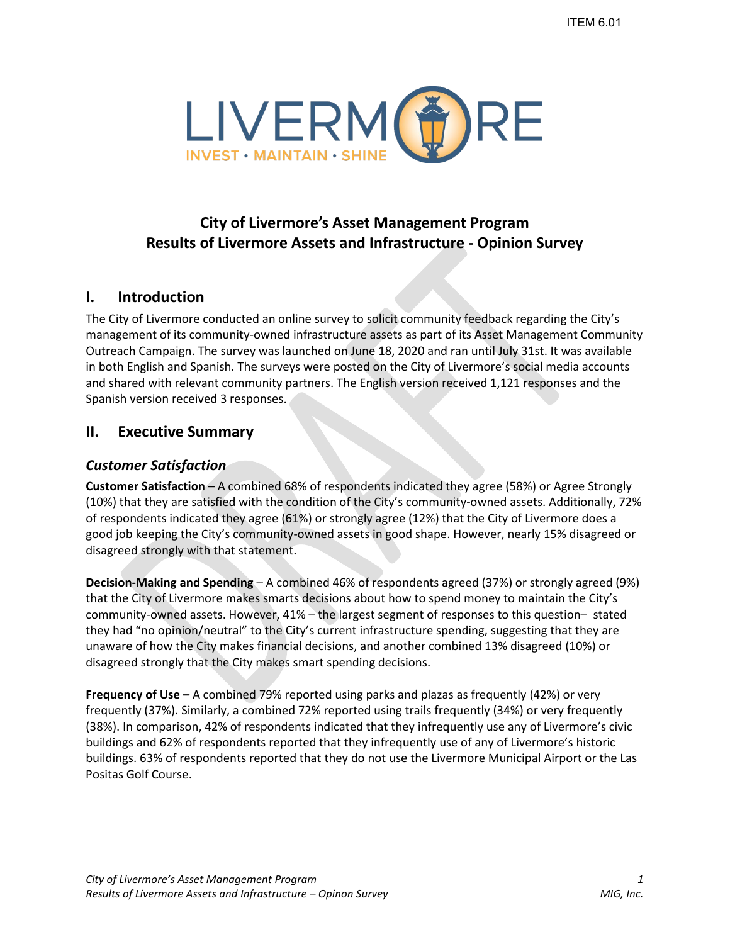

# **City of Livermore's Asset Management Program Results of Livermore Assets and Infrastructure - Opinion Survey**

## **I. Introduction**

The City of Livermore conducted an online survey to solicit community feedback regarding the City's management of its community-owned infrastructure assets as part of its Asset Management Community Outreach Campaign. The survey was launched on June 18, 2020 and ran until July 31st. It was available in both English and Spanish. The surveys were posted on the City of Livermore's social media accounts and shared with relevant community partners. The English version received 1,121 responses and the Spanish version received 3 responses.

## **II. Executive Summary**

## *Customer Satisfaction*

**Customer Satisfaction –** A combined 68% of respondents indicated they agree (58%) or Agree Strongly (10%) that they are satisfied with the condition of the City's community-owned assets. Additionally, 72% of respondents indicated they agree (61%) or strongly agree (12%) that the City of Livermore does a good job keeping the City's community-owned assets in good shape. However, nearly 15% disagreed or disagreed strongly with that statement.

**Decision-Making and Spending** – A combined 46% of respondents agreed (37%) or strongly agreed (9%) that the City of Livermore makes smarts decisions about how to spend money to maintain the City's community-owned assets. However, 41% – the largest segment of responses to this question– stated they had "no opinion/neutral" to the City's current infrastructure spending, suggesting that they are unaware of how the City makes financial decisions, and another combined 13% disagreed (10%) or disagreed strongly that the City makes smart spending decisions.

**Frequency of Use –** A combined 79% reported using parks and plazas as frequently (42%) or very frequently (37%). Similarly, a combined 72% reported using trails frequently (34%) or very frequently (38%). In comparison, 42% of respondents indicated that they infrequently use any of Livermore's civic buildings and 62% of respondents reported that they infrequently use of any of Livermore's historic buildings. 63% of respondents reported that they do not use the Livermore Municipal Airport or the Las Positas Golf Course.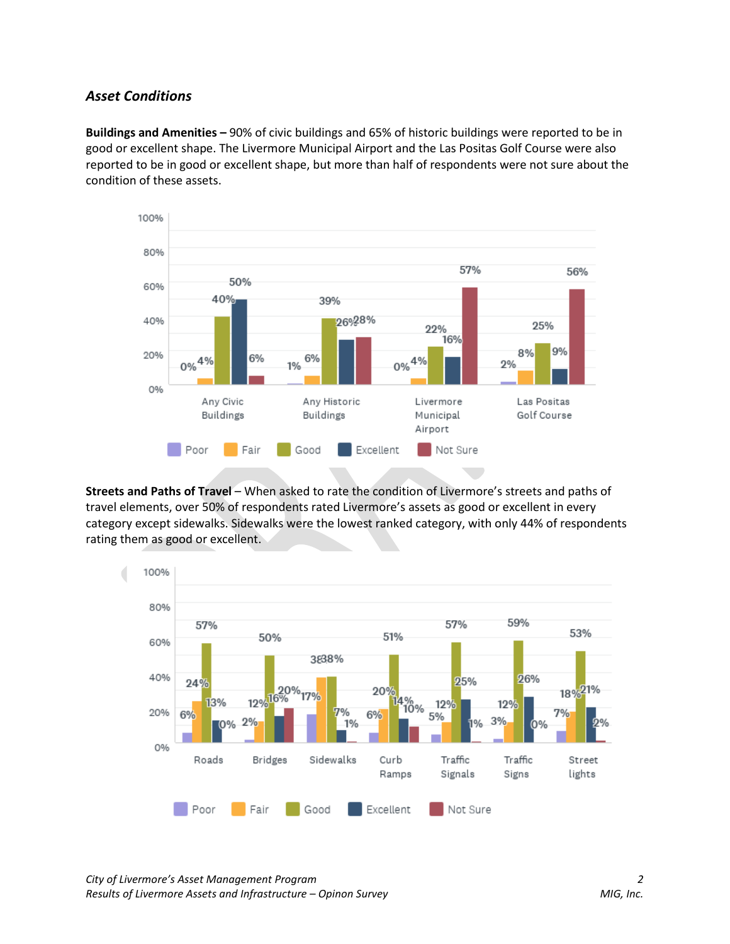## *Asset Conditions*

**Buildings and Amenities –** 90% of civic buildings and 65% of historic buildings were reported to be in good or excellent shape. The Livermore Municipal Airport and the Las Positas Golf Course were also reported to be in good or excellent shape, but more than half of respondents were not sure about the condition of these assets.



**Streets and Paths of Travel** – When asked to rate the condition of Livermore's streets and paths of travel elements, over 50% of respondents rated Livermore's assets as good or excellent in every category except sidewalks. Sidewalks were the lowest ranked category, with only 44% of respondents rating them as good or excellent.

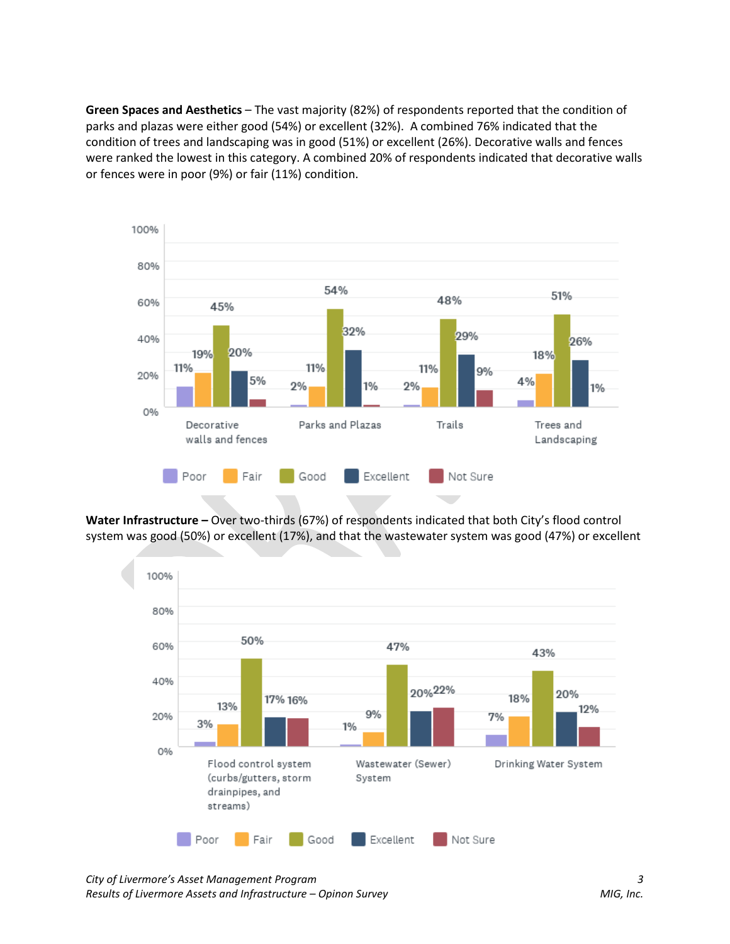**Green Spaces and Aesthetics** – The vast majority (82%) of respondents reported that the condition of parks and plazas were either good (54%) or excellent (32%). A combined 76% indicated that the condition of trees and landscaping was in good (51%) or excellent (26%). Decorative walls and fences were ranked the lowest in this category. A combined 20% of respondents indicated that decorative walls or fences were in poor (9%) or fair (11%) condition.



**Water Infrastructure –** Over two-thirds (67%) of respondents indicated that both City's flood control system was good (50%) or excellent (17%), and that the wastewater system was good (47%) or excellent



*City of Livermore's Asset Management Program 3 Results of Livermore Assets and Infrastructure – Opinon Survey MIG, Inc.*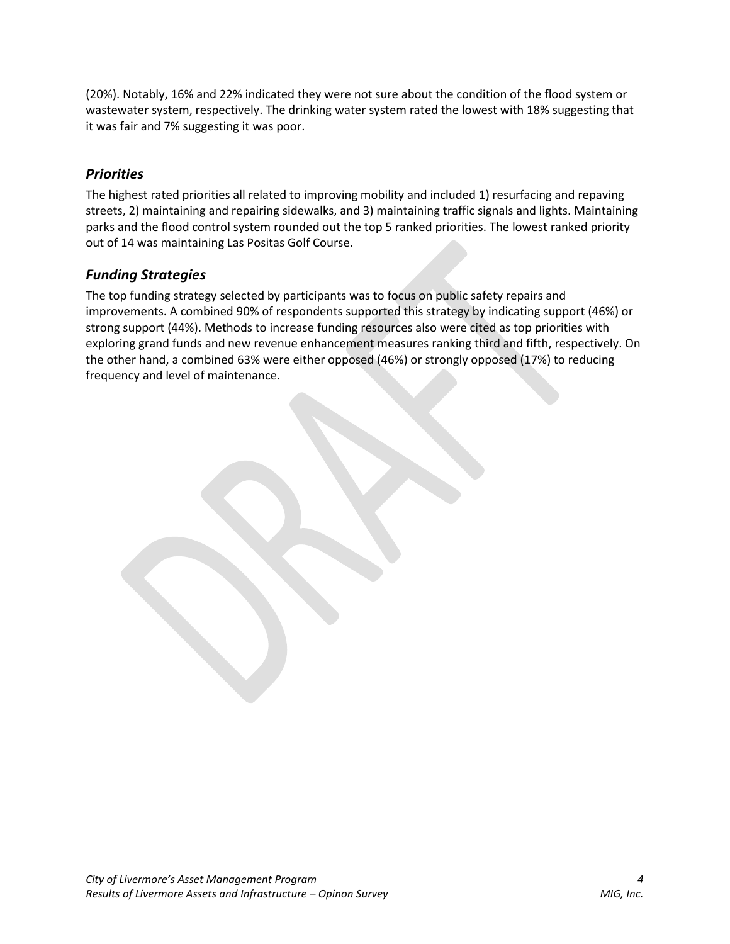(20%). Notably, 16% and 22% indicated they were not sure about the condition of the flood system or wastewater system, respectively. The drinking water system rated the lowest with 18% suggesting that it was fair and 7% suggesting it was poor.

## *Priorities*

The highest rated priorities all related to improving mobility and included 1) resurfacing and repaving streets, 2) maintaining and repairing sidewalks, and 3) maintaining traffic signals and lights. Maintaining parks and the flood control system rounded out the top 5 ranked priorities. The lowest ranked priority out of 14 was maintaining Las Positas Golf Course.

## *Funding Strategies*

The top funding strategy selected by participants was to focus on public safety repairs and improvements. A combined 90% of respondents supported this strategy by indicating support (46%) or strong support (44%). Methods to increase funding resources also were cited as top priorities with exploring grand funds and new revenue enhancement measures ranking third and fifth, respectively. On the other hand, a combined 63% were either opposed (46%) or strongly opposed (17%) to reducing frequency and level of maintenance.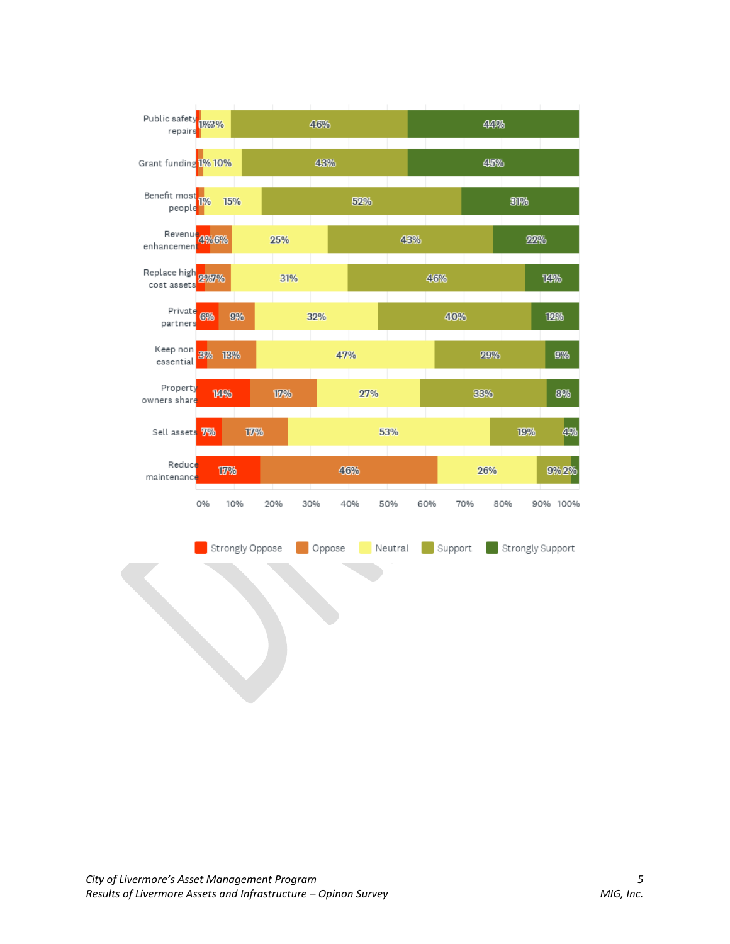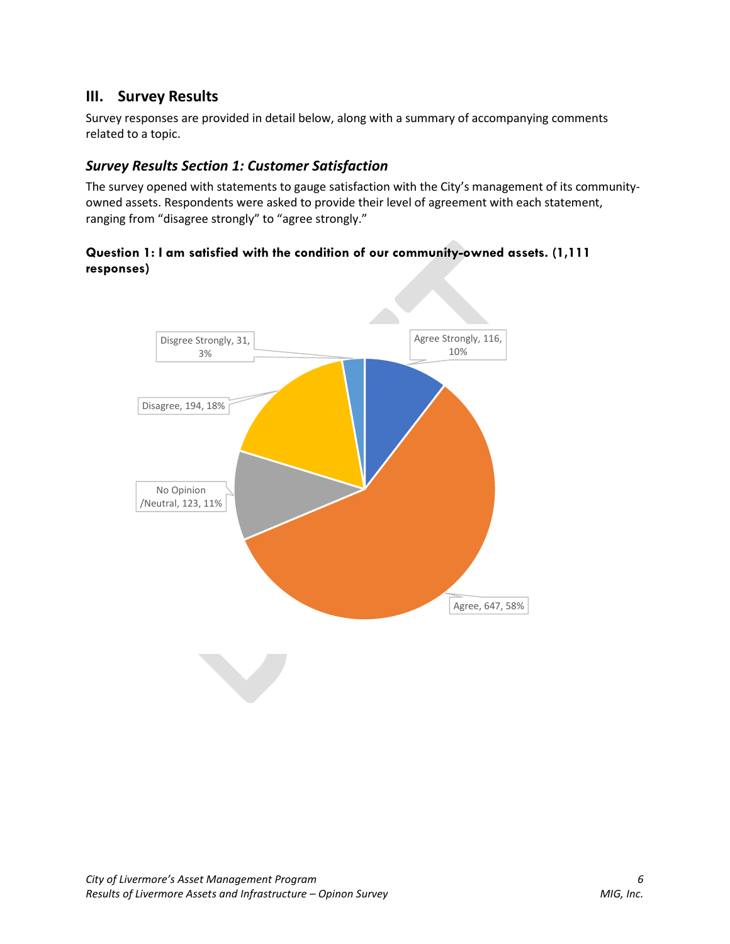## **III. Survey Results**

Survey responses are provided in detail below, along with a summary of accompanying comments related to a topic.

## *Survey Results Section 1: Customer Satisfaction*

The survey opened with statements to gauge satisfaction with the City's management of its communityowned assets. Respondents were asked to provide their level of agreement with each statement, ranging from "disagree strongly" to "agree strongly."

## **Question 1: I am satisfied with the condition of our community-owned assets. (1,111 responses)**

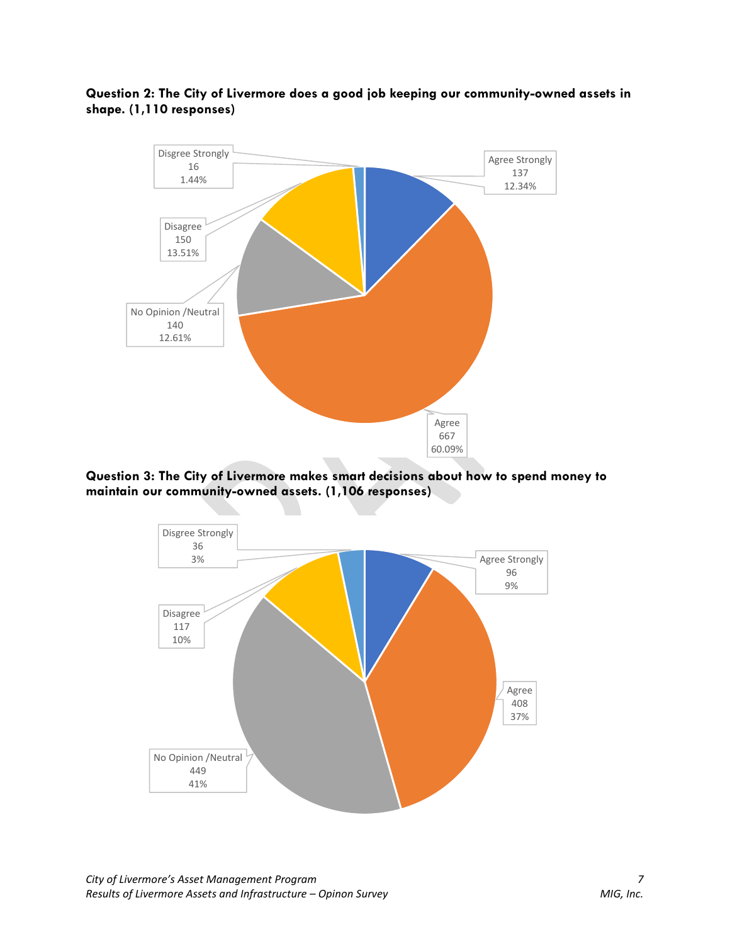



**Question 3: The City of Livermore makes smart decisions about how to spend money to maintain our community-owned assets. (1,106 responses)**

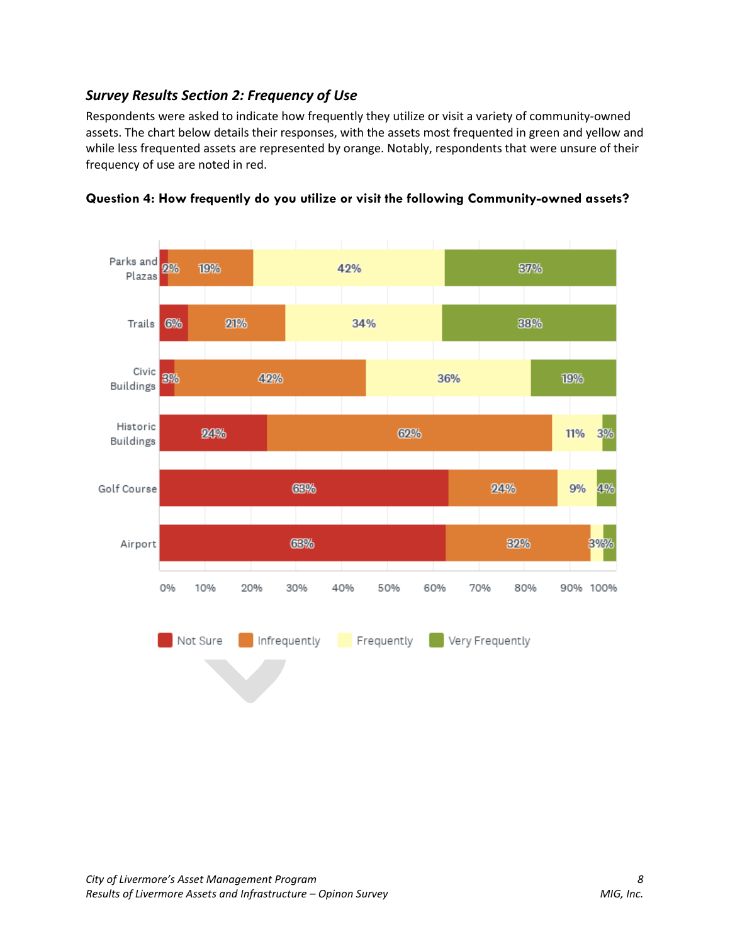## *Survey Results Section 2: Frequency of Use*

Respondents were asked to indicate how frequently they utilize or visit a variety of community-owned assets. The chart below details their responses, with the assets most frequented in green and yellow and while less frequented assets are represented by orange. Notably, respondents that were unsure of their frequency of use are noted in red.



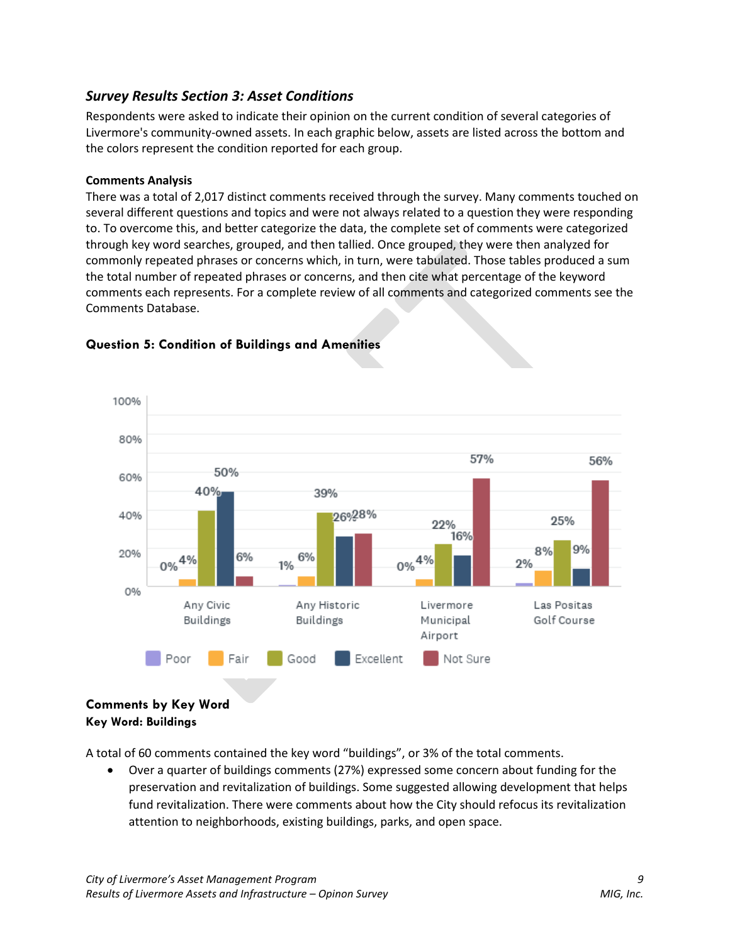## *Survey Results Section 3: Asset Conditions*

Respondents were asked to indicate their opinion on the current condition of several categories of Livermore's community-owned assets. In each graphic below, assets are listed across the bottom and the colors represent the condition reported for each group.

#### **Comments Analysis**

There was a total of 2,017 distinct comments received through the survey. Many comments touched on several different questions and topics and were not always related to a question they were responding to. To overcome this, and better categorize the data, the complete set of comments were categorized through key word searches, grouped, and then tallied. Once grouped, they were then analyzed for commonly repeated phrases or concerns which, in turn, were tabulated. Those tables produced a sum the total number of repeated phrases or concerns, and then cite what percentage of the keyword comments each represents. For a complete review of all comments and categorized comments see the Comments Database.



## **Question 5: Condition of Buildings and Amenities**

## **Comments by Key Word Key Word: Buildings**

A total of 60 comments contained the key word "buildings", or 3% of the total comments.

• Over a quarter of buildings comments (27%) expressed some concern about funding for the preservation and revitalization of buildings. Some suggested allowing development that helps fund revitalization. There were comments about how the City should refocus its revitalization attention to neighborhoods, existing buildings, parks, and open space.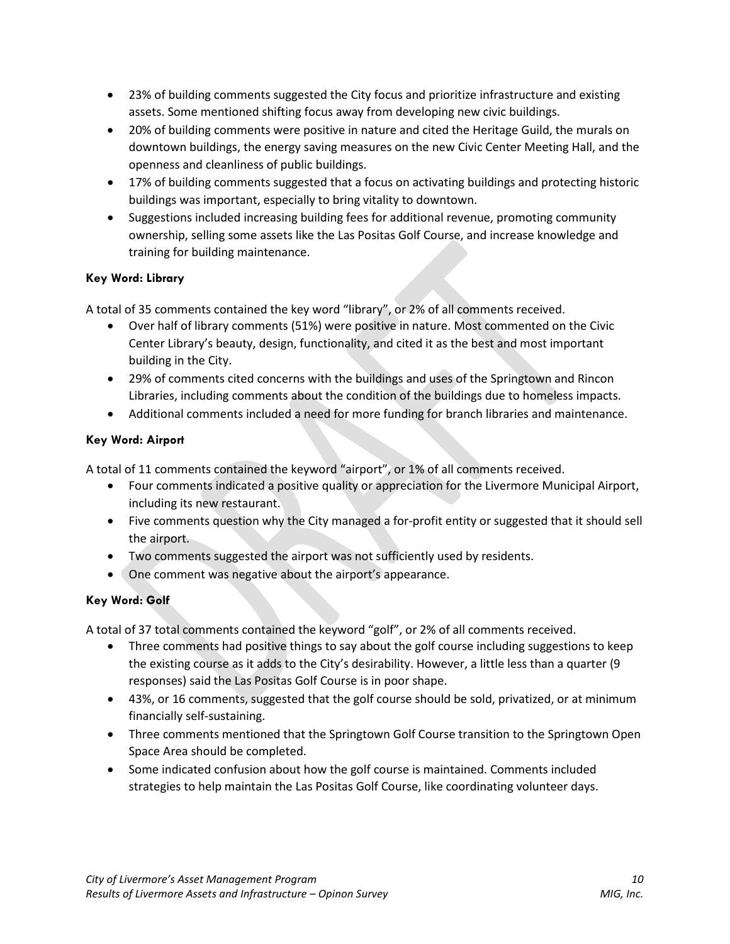- 23% of building comments suggested the City focus and prioritize infrastructure and existing assets. Some mentioned shifting focus away from developing new civic buildings.
- 20% of building comments were positive in nature and cited the Heritage Guild, the murals on downtown buildings, the energy saving measures on the new Civic Center Meeting Hall, and the openness and cleanliness of public buildings.
- 17% of building comments suggested that a focus on activating buildings and protecting historic buildings was important, especially to bring vitality to downtown.
- Suggestions included increasing building fees for additional revenue, promoting community ownership, selling some assets like the Las Positas Golf Course, and increase knowledge and training for building maintenance.

## **Key Word: Library**

A total of 35 comments contained the key word "library", or 2% of all comments received.

- Over half of library comments (51%) were positive in nature. Most commented on the Civic Center Library's beauty, design, functionality, and cited it as the best and most important building in the City.
- 29% of comments cited concerns with the buildings and uses of the Springtown and Rincon Libraries, including comments about the condition of the buildings due to homeless impacts.
- Additional comments included a need for more funding for branch libraries and maintenance.

## **Key Word: Airport**

A total of 11 comments contained the keyword "airport", or 1% of all comments received.

- Four comments indicated a positive quality or appreciation for the Livermore Municipal Airport, including its new restaurant.
- Five comments question why the City managed a for-profit entity or suggested that it should sell the airport.
- Two comments suggested the airport was not sufficiently used by residents.
- One comment was negative about the airport's appearance.

## **Key Word: Golf**

A total of 37 total comments contained the keyword "golf", or 2% of all comments received.

- Three comments had positive things to say about the golf course including suggestions to keep the existing course as it adds to the City's desirability. However, a little less than a quarter (9 responses) said the Las Positas Golf Course is in poor shape.
- 43%, or 16 comments, suggested that the golf course should be sold, privatized, or at minimum financially self-sustaining.
- Three comments mentioned that the Springtown Golf Course transition to the Springtown Open Space Area should be completed.
- Some indicated confusion about how the golf course is maintained. Comments included strategies to help maintain the Las Positas Golf Course, like coordinating volunteer days.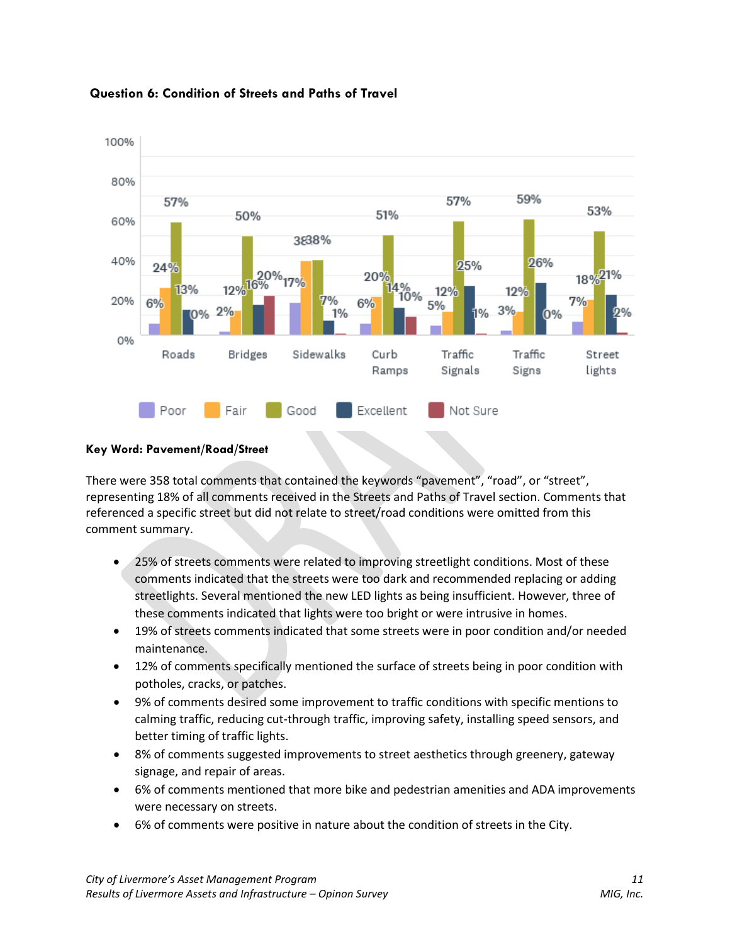

## **Question 6: Condition of Streets and Paths of Travel**

#### **Key Word: Pavement/Road/Street**

There were 358 total comments that contained the keywords "pavement", "road", or "street", representing 18% of all comments received in the Streets and Paths of Travel section. Comments that referenced a specific street but did not relate to street/road conditions were omitted from this comment summary.

- 25% of streets comments were related to improving streetlight conditions. Most of these comments indicated that the streets were too dark and recommended replacing or adding streetlights. Several mentioned the new LED lights as being insufficient. However, three of these comments indicated that lights were too bright or were intrusive in homes.
- 19% of streets comments indicated that some streets were in poor condition and/or needed maintenance.
- 12% of comments specifically mentioned the surface of streets being in poor condition with potholes, cracks, or patches.
- 9% of comments desired some improvement to traffic conditions with specific mentions to calming traffic, reducing cut-through traffic, improving safety, installing speed sensors, and better timing of traffic lights.
- 8% of comments suggested improvements to street aesthetics through greenery, gateway signage, and repair of areas.
- 6% of comments mentioned that more bike and pedestrian amenities and ADA improvements were necessary on streets.
- 6% of comments were positive in nature about the condition of streets in the City.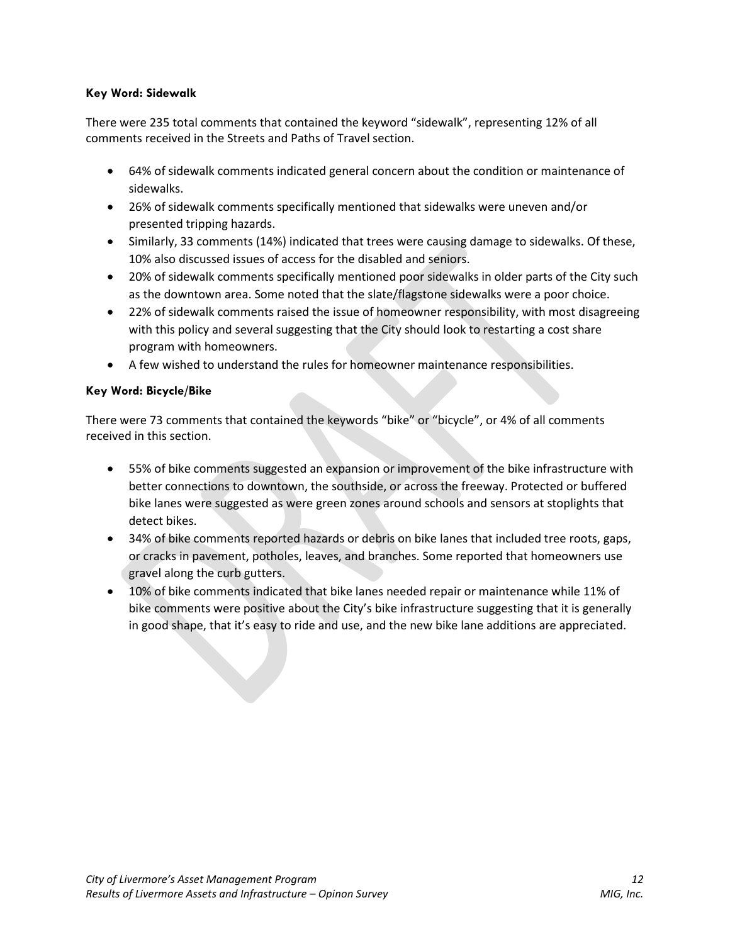## **Key Word: Sidewalk**

There were 235 total comments that contained the keyword "sidewalk", representing 12% of all comments received in the Streets and Paths of Travel section.

- 64% of sidewalk comments indicated general concern about the condition or maintenance of sidewalks.
- 26% of sidewalk comments specifically mentioned that sidewalks were uneven and/or presented tripping hazards.
- Similarly, 33 comments (14%) indicated that trees were causing damage to sidewalks. Of these, 10% also discussed issues of access for the disabled and seniors.
- 20% of sidewalk comments specifically mentioned poor sidewalks in older parts of the City such as the downtown area. Some noted that the slate/flagstone sidewalks were a poor choice.
- 22% of sidewalk comments raised the issue of homeowner responsibility, with most disagreeing with this policy and several suggesting that the City should look to restarting a cost share program with homeowners.
- A few wished to understand the rules for homeowner maintenance responsibilities.

## **Key Word: Bicycle/Bike**

There were 73 comments that contained the keywords "bike" or "bicycle", or 4% of all comments received in this section.

- 55% of bike comments suggested an expansion or improvement of the bike infrastructure with better connections to downtown, the southside, or across the freeway. Protected or buffered bike lanes were suggested as were green zones around schools and sensors at stoplights that detect bikes.
- 34% of bike comments reported hazards or debris on bike lanes that included tree roots, gaps, or cracks in pavement, potholes, leaves, and branches. Some reported that homeowners use gravel along the curb gutters.
- 10% of bike comments indicated that bike lanes needed repair or maintenance while 11% of bike comments were positive about the City's bike infrastructure suggesting that it is generally in good shape, that it's easy to ride and use, and the new bike lane additions are appreciated.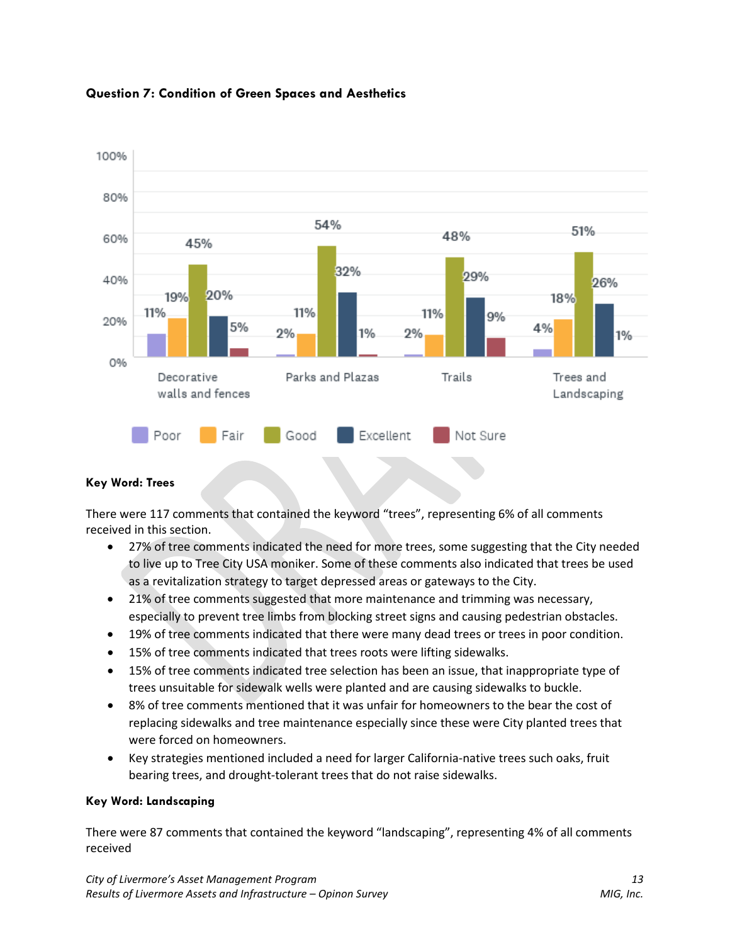



## **Key Word: Trees**

There were 117 comments that contained the keyword "trees", representing 6% of all comments received in this section.

- 27% of tree comments indicated the need for more trees, some suggesting that the City needed to live up to Tree City USA moniker. Some of these comments also indicated that trees be used as a revitalization strategy to target depressed areas or gateways to the City.
- 21% of tree comments suggested that more maintenance and trimming was necessary, especially to prevent tree limbs from blocking street signs and causing pedestrian obstacles.
- 19% of tree comments indicated that there were many dead trees or trees in poor condition.
- 15% of tree comments indicated that trees roots were lifting sidewalks.
- 15% of tree comments indicated tree selection has been an issue, that inappropriate type of trees unsuitable for sidewalk wells were planted and are causing sidewalks to buckle.
- 8% of tree comments mentioned that it was unfair for homeowners to the bear the cost of replacing sidewalks and tree maintenance especially since these were City planted trees that were forced on homeowners.
- Key strategies mentioned included a need for larger California-native trees such oaks, fruit bearing trees, and drought-tolerant trees that do not raise sidewalks.

## **Key Word: Landscaping**

There were 87 comments that contained the keyword "landscaping", representing 4% of all comments received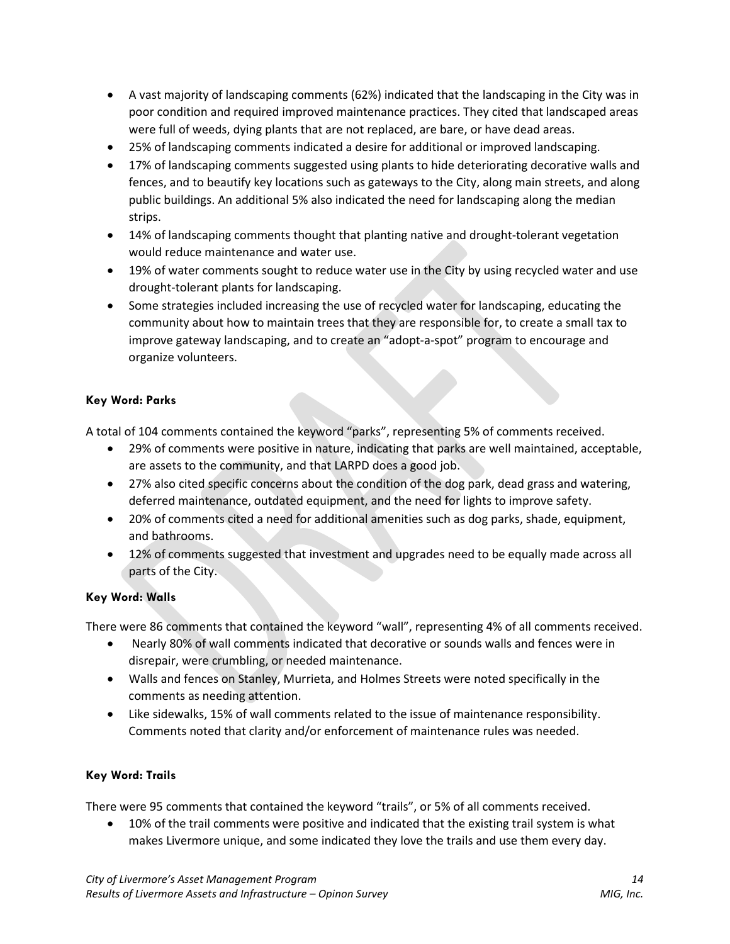- A vast majority of landscaping comments (62%) indicated that the landscaping in the City was in poor condition and required improved maintenance practices. They cited that landscaped areas were full of weeds, dying plants that are not replaced, are bare, or have dead areas.
- 25% of landscaping comments indicated a desire for additional or improved landscaping.
- 17% of landscaping comments suggested using plants to hide deteriorating decorative walls and fences, and to beautify key locations such as gateways to the City, along main streets, and along public buildings. An additional 5% also indicated the need for landscaping along the median strips.
- 14% of landscaping comments thought that planting native and drought-tolerant vegetation would reduce maintenance and water use.
- 19% of water comments sought to reduce water use in the City by using recycled water and use drought-tolerant plants for landscaping.
- Some strategies included increasing the use of recycled water for landscaping, educating the community about how to maintain trees that they are responsible for, to create a small tax to improve gateway landscaping, and to create an "adopt-a-spot" program to encourage and organize volunteers.

## **Key Word: Parks**

A total of 104 comments contained the keyword "parks", representing 5% of comments received.

- 29% of comments were positive in nature, indicating that parks are well maintained, acceptable, are assets to the community, and that LARPD does a good job.
- 27% also cited specific concerns about the condition of the dog park, dead grass and watering, deferred maintenance, outdated equipment, and the need for lights to improve safety.
- 20% of comments cited a need for additional amenities such as dog parks, shade, equipment, and bathrooms.
- 12% of comments suggested that investment and upgrades need to be equally made across all parts of the City.

## **Key Word: Walls**

There were 86 comments that contained the keyword "wall", representing 4% of all comments received.

- Nearly 80% of wall comments indicated that decorative or sounds walls and fences were in disrepair, were crumbling, or needed maintenance.
- Walls and fences on Stanley, Murrieta, and Holmes Streets were noted specifically in the comments as needing attention.
- Like sidewalks, 15% of wall comments related to the issue of maintenance responsibility. Comments noted that clarity and/or enforcement of maintenance rules was needed.

## **Key Word: Trails**

There were 95 comments that contained the keyword "trails", or 5% of all comments received.

• 10% of the trail comments were positive and indicated that the existing trail system is what makes Livermore unique, and some indicated they love the trails and use them every day.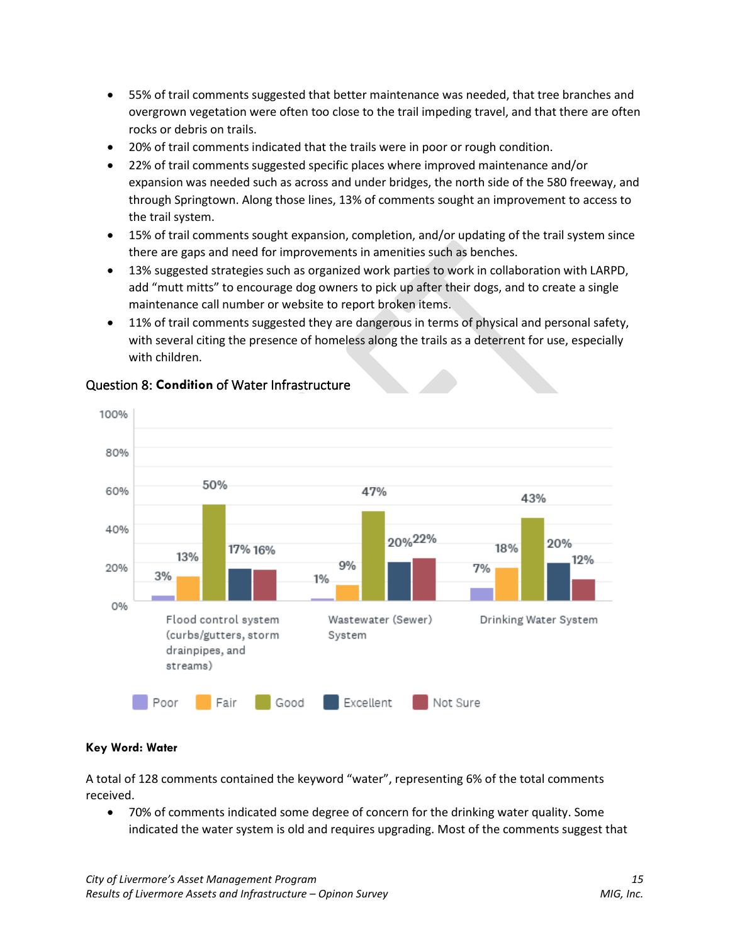- 55% of trail comments suggested that better maintenance was needed, that tree branches and overgrown vegetation were often too close to the trail impeding travel, and that there are often rocks or debris on trails.
- 20% of trail comments indicated that the trails were in poor or rough condition.
- 22% of trail comments suggested specific places where improved maintenance and/or expansion was needed such as across and under bridges, the north side of the 580 freeway, and through Springtown. Along those lines, 13% of comments sought an improvement to access to the trail system.
- 15% of trail comments sought expansion, completion, and/or updating of the trail system since there are gaps and need for improvements in amenities such as benches.
- 13% suggested strategies such as organized work parties to work in collaboration with LARPD, add "mutt mitts" to encourage dog owners to pick up after their dogs, and to create a single maintenance call number or website to report broken items.
- 11% of trail comments suggested they are dangerous in terms of physical and personal safety, with several citing the presence of homeless along the trails as a deterrent for use, especially with children.



## Question 8: **Condition** of Water Infrastructure

## **Key Word: Water**

A total of 128 comments contained the keyword "water", representing 6% of the total comments received.

• 70% of comments indicated some degree of concern for the drinking water quality. Some indicated the water system is old and requires upgrading. Most of the comments suggest that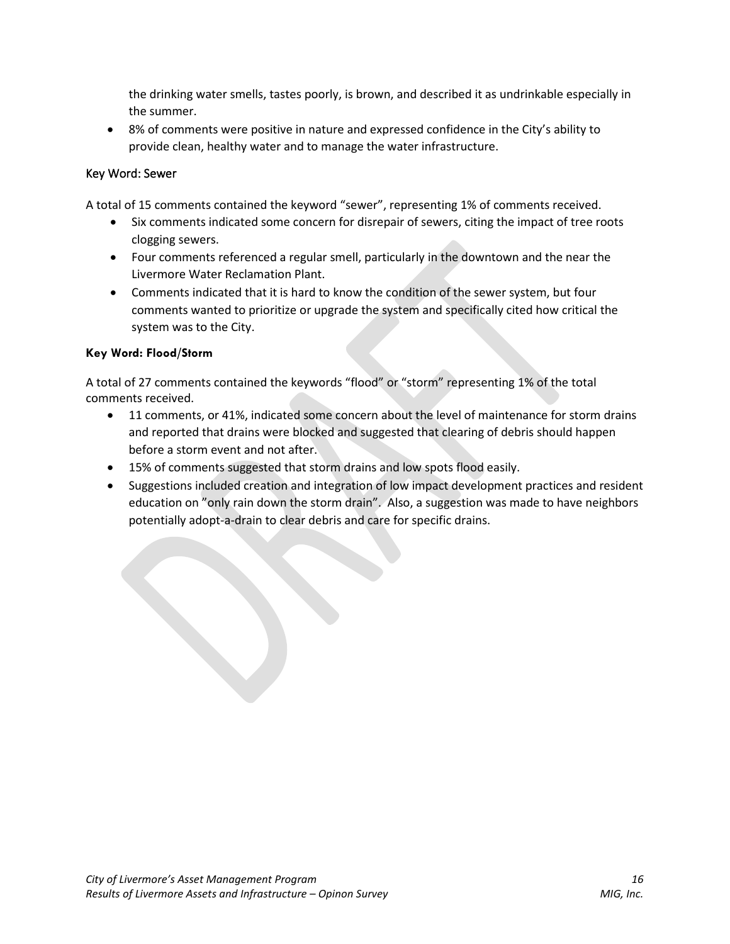the drinking water smells, tastes poorly, is brown, and described it as undrinkable especially in the summer.

• 8% of comments were positive in nature and expressed confidence in the City's ability to provide clean, healthy water and to manage the water infrastructure.

## Key Word: Sewer

A total of 15 comments contained the keyword "sewer", representing 1% of comments received.

- Six comments indicated some concern for disrepair of sewers, citing the impact of tree roots clogging sewers.
- Four comments referenced a regular smell, particularly in the downtown and the near the Livermore Water Reclamation Plant.
- Comments indicated that it is hard to know the condition of the sewer system, but four comments wanted to prioritize or upgrade the system and specifically cited how critical the system was to the City.

## **Key Word: Flood/Storm**

A total of 27 comments contained the keywords "flood" or "storm" representing 1% of the total comments received.

- 11 comments, or 41%, indicated some concern about the level of maintenance for storm drains and reported that drains were blocked and suggested that clearing of debris should happen before a storm event and not after.
- 15% of comments suggested that storm drains and low spots flood easily.
- Suggestions included creation and integration of low impact development practices and resident education on "only rain down the storm drain". Also, a suggestion was made to have neighbors potentially adopt-a-drain to clear debris and care for specific drains.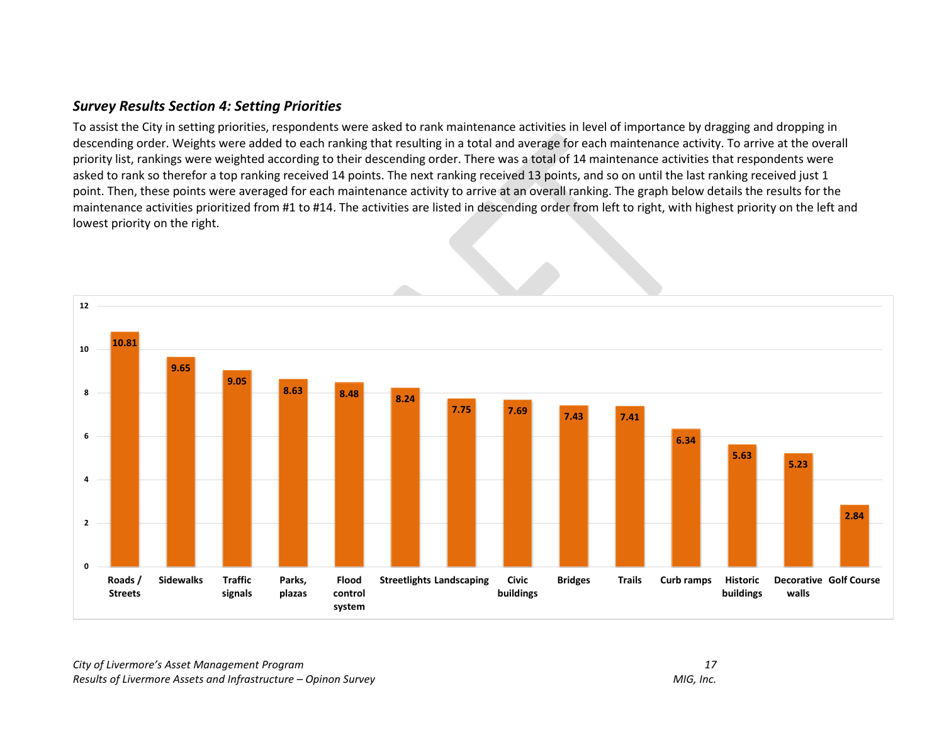## *Survey Results Section 4: Setting Priorities*

To assist the City in setting priorities, respondents were asked to rank maintenance activities in level of importance by dragging and dropping in descending order. Weights were added to each ranking that resulting in a total and average for each maintenance activity. To arrive at the overall priority list, rankings were weighted according to their descending order. There was a total of 14 maintenance activities that respondents were asked to rank so therefor a top ranking received 14 points. The next ranking received 13 points, and so on until the last ranking received just 1 point. Then, these points were averaged for each maintenance activity to arrive at an overall ranking. The graph below details the results for the maintenance activities prioritized from #1 to #14. The activities are listed in descending order from left to right, with highest priority on the left and lowest priority on the right.

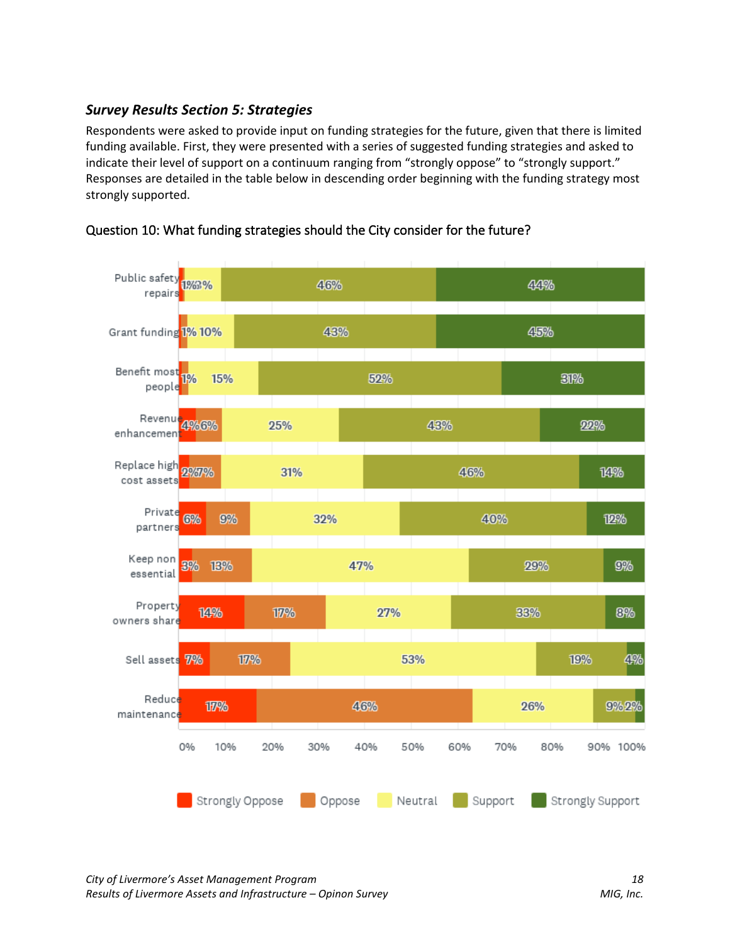## *Survey Results Section 5: Strategies*

Respondents were asked to provide input on funding strategies for the future, given that there is limited funding available. First, they were presented with a series of suggested funding strategies and asked to indicate their level of support on a continuum ranging from "strongly oppose" to "strongly support." Responses are detailed in the table below in descending order beginning with the funding strategy most strongly supported.



## Question 10: What funding strategies should the City consider for the future?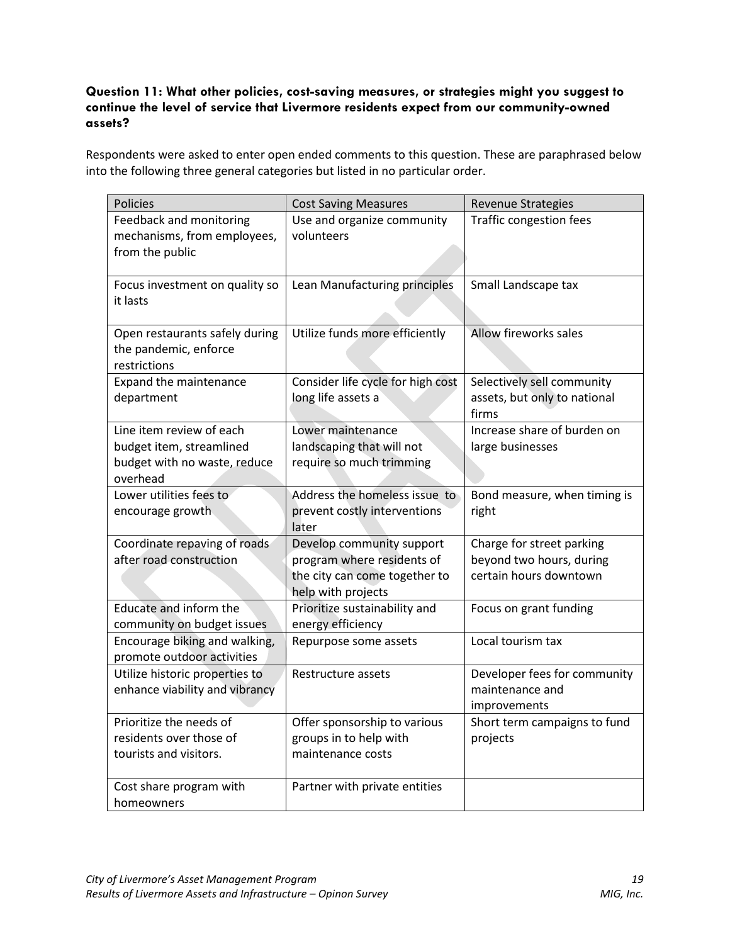## **Question 11: What other policies, cost-saving measures, or strategies might you suggest to continue the level of service that Livermore residents expect from our community-owned assets?**

Respondents were asked to enter open ended comments to this question. These are paraphrased below into the following three general categories but listed in no particular order.

| <b>Policies</b>                                                                                  | <b>Cost Saving Measures</b>                                                                                    | <b>Revenue Strategies</b>                                                       |
|--------------------------------------------------------------------------------------------------|----------------------------------------------------------------------------------------------------------------|---------------------------------------------------------------------------------|
| Feedback and monitoring<br>mechanisms, from employees,<br>from the public                        | Use and organize community<br>volunteers                                                                       | <b>Traffic congestion fees</b>                                                  |
| Focus investment on quality so<br>it lasts                                                       | Lean Manufacturing principles                                                                                  | Small Landscape tax                                                             |
| Open restaurants safely during<br>the pandemic, enforce<br>restrictions                          | Utilize funds more efficiently                                                                                 | Allow fireworks sales                                                           |
| Expand the maintenance<br>department                                                             | Consider life cycle for high cost<br>long life assets a                                                        | Selectively sell community<br>assets, but only to national<br>firms             |
| Line item review of each<br>budget item, streamlined<br>budget with no waste, reduce<br>overhead | Lower maintenance<br>landscaping that will not<br>require so much trimming                                     | Increase share of burden on<br>large businesses                                 |
| Lower utilities fees to<br>encourage growth                                                      | Address the homeless issue to<br>prevent costly interventions<br>later                                         | Bond measure, when timing is<br>right                                           |
| Coordinate repaving of roads<br>after road construction                                          | Develop community support<br>program where residents of<br>the city can come together to<br>help with projects | Charge for street parking<br>beyond two hours, during<br>certain hours downtown |
| Educate and inform the<br>community on budget issues                                             | Prioritize sustainability and<br>energy efficiency                                                             | Focus on grant funding                                                          |
| Encourage biking and walking,<br>promote outdoor activities                                      | Repurpose some assets                                                                                          | Local tourism tax                                                               |
| Utilize historic properties to<br>enhance viability and vibrancy                                 | Restructure assets                                                                                             | Developer fees for community<br>maintenance and<br>improvements                 |
| Prioritize the needs of<br>residents over those of<br>tourists and visitors.                     | Offer sponsorship to various<br>groups in to help with<br>maintenance costs                                    | Short term campaigns to fund<br>projects                                        |
| Cost share program with<br>homeowners                                                            | Partner with private entities                                                                                  |                                                                                 |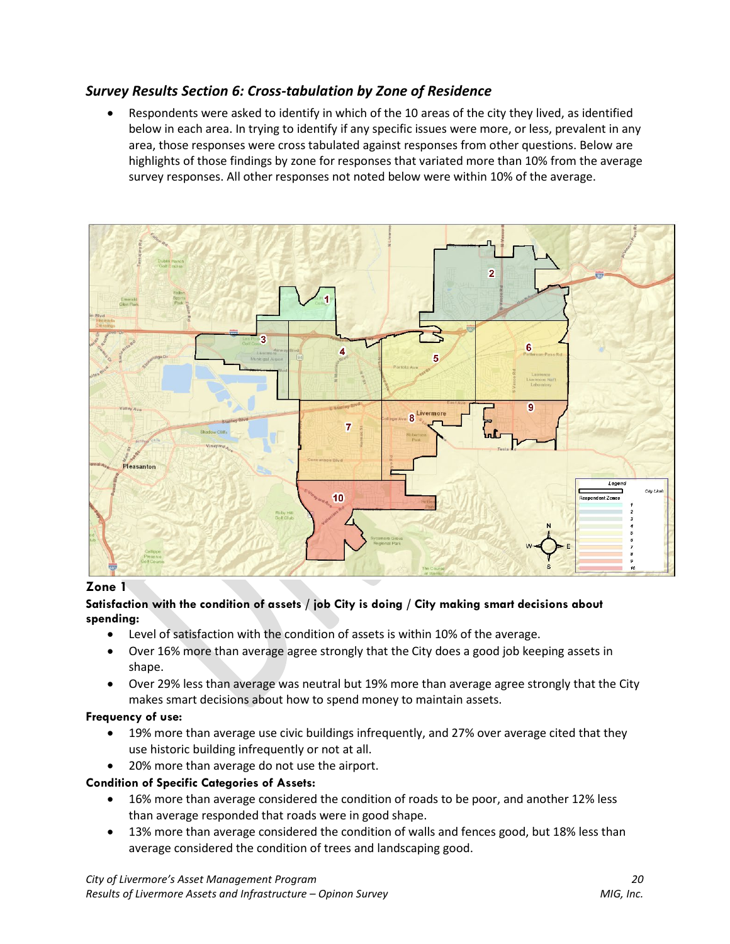## *Survey Results Section 6: Cross-tabulation by Zone of Residence*

• Respondents were asked to identify in which of the 10 areas of the city they lived, as identified below in each area. In trying to identify if any specific issues were more, or less, prevalent in any area, those responses were cross tabulated against responses from other questions. Below are highlights of those findings by zone for responses that variated more than 10% from the average survey responses. All other responses not noted below were within 10% of the average.



#### **Zone 1**

#### **Satisfaction with the condition of assets / job City is doing / City making smart decisions about spending:**

- Level of satisfaction with the condition of assets is within 10% of the average.
- Over 16% more than average agree strongly that the City does a good job keeping assets in shape.
- Over 29% less than average was neutral but 19% more than average agree strongly that the City makes smart decisions about how to spend money to maintain assets.

## **Frequency of use:**

- 19% more than average use civic buildings infrequently, and 27% over average cited that they use historic building infrequently or not at all.
- 20% more than average do not use the airport.

## **Condition of Specific Categories of Assets:**

- 16% more than average considered the condition of roads to be poor, and another 12% less than average responded that roads were in good shape.
- 13% more than average considered the condition of walls and fences good, but 18% less than average considered the condition of trees and landscaping good.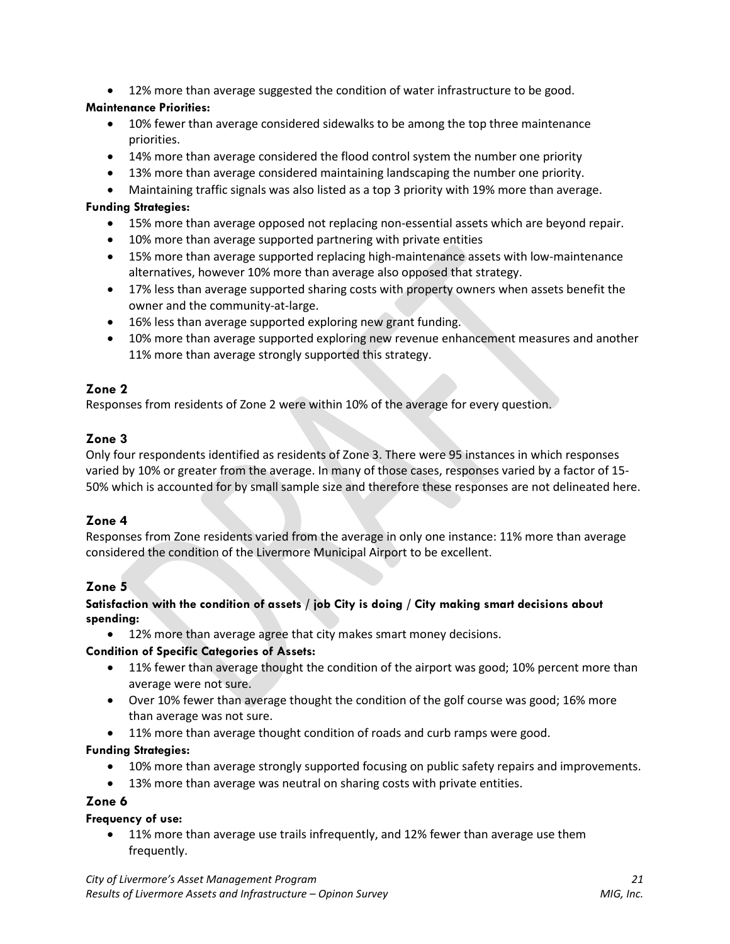• 12% more than average suggested the condition of water infrastructure to be good.

## **Maintenance Priorities:**

- 10% fewer than average considered sidewalks to be among the top three maintenance priorities.
- 14% more than average considered the flood control system the number one priority
- 13% more than average considered maintaining landscaping the number one priority.
- Maintaining traffic signals was also listed as a top 3 priority with 19% more than average.

#### **Funding Strategies:**

- 15% more than average opposed not replacing non-essential assets which are beyond repair.
- 10% more than average supported partnering with private entities
- 15% more than average supported replacing high-maintenance assets with low-maintenance alternatives, however 10% more than average also opposed that strategy.
- 17% less than average supported sharing costs with property owners when assets benefit the owner and the community-at-large.
- 16% less than average supported exploring new grant funding.
- 10% more than average supported exploring new revenue enhancement measures and another 11% more than average strongly supported this strategy.

## **Zone 2**

Responses from residents of Zone 2 were within 10% of the average for every question.

## **Zone 3**

Only four respondents identified as residents of Zone 3. There were 95 instances in which responses varied by 10% or greater from the average. In many of those cases, responses varied by a factor of 15- 50% which is accounted for by small sample size and therefore these responses are not delineated here.

## **Zone 4**

Responses from Zone residents varied from the average in only one instance: 11% more than average considered the condition of the Livermore Municipal Airport to be excellent.

## **Zone 5**

#### **Satisfaction with the condition of assets / job City is doing / City making smart decisions about spending:**

12% more than average agree that city makes smart money decisions.

## **Condition of Specific Categories of Assets:**

- 11% fewer than average thought the condition of the airport was good; 10% percent more than average were not sure.
- Over 10% fewer than average thought the condition of the golf course was good; 16% more than average was not sure.
- 11% more than average thought condition of roads and curb ramps were good.

## **Funding Strategies:**

- 10% more than average strongly supported focusing on public safety repairs and improvements.
- 13% more than average was neutral on sharing costs with private entities.

#### **Zone 6**

#### **Frequency of use:**

• 11% more than average use trails infrequently, and 12% fewer than average use them frequently.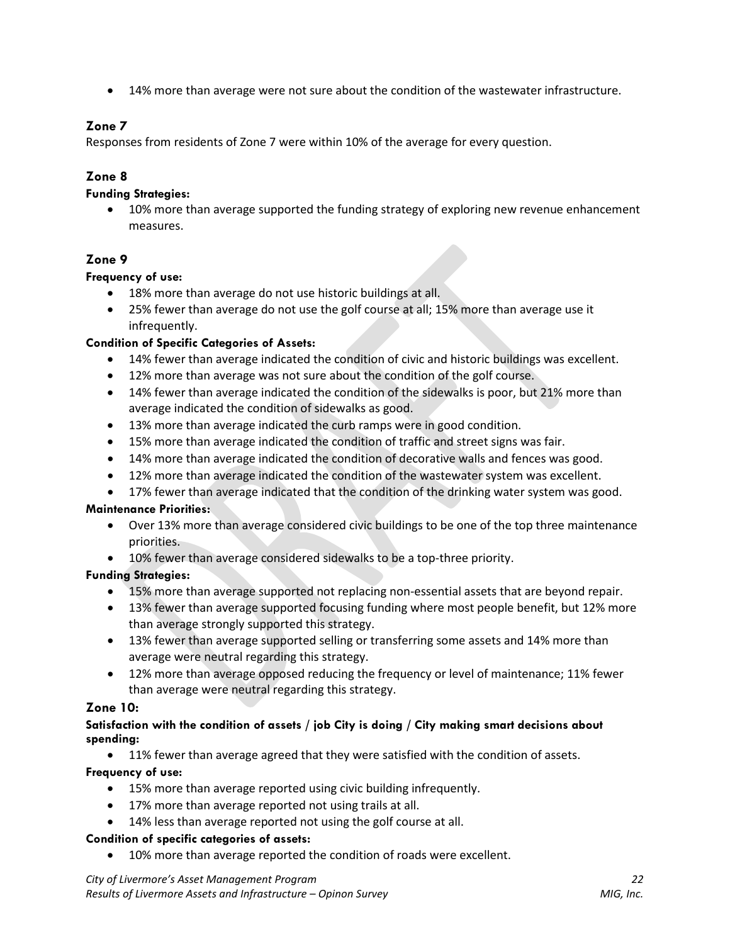• 14% more than average were not sure about the condition of the wastewater infrastructure.

## **Zone 7**

Responses from residents of Zone 7 were within 10% of the average for every question.

## **Zone 8**

#### **Funding Strategies:**

• 10% more than average supported the funding strategy of exploring new revenue enhancement measures.

## **Zone 9**

#### **Frequency of use:**

- 18% more than average do not use historic buildings at all.
- 25% fewer than average do not use the golf course at all; 15% more than average use it infrequently.

#### **Condition of Specific Categories of Assets:**

- 14% fewer than average indicated the condition of civic and historic buildings was excellent.
- 12% more than average was not sure about the condition of the golf course.
- 14% fewer than average indicated the condition of the sidewalks is poor, but 21% more than average indicated the condition of sidewalks as good.
- 13% more than average indicated the curb ramps were in good condition.
- 15% more than average indicated the condition of traffic and street signs was fair.
- 14% more than average indicated the condition of decorative walls and fences was good.
- 12% more than average indicated the condition of the wastewater system was excellent.
- 17% fewer than average indicated that the condition of the drinking water system was good.

## **Maintenance Priorities:**

- Over 13% more than average considered civic buildings to be one of the top three maintenance priorities.
- 10% fewer than average considered sidewalks to be a top-three priority.

## **Funding Strategies:**

- 15% more than average supported not replacing non-essential assets that are beyond repair.
- 13% fewer than average supported focusing funding where most people benefit, but 12% more than average strongly supported this strategy.
- 13% fewer than average supported selling or transferring some assets and 14% more than average were neutral regarding this strategy.
- 12% more than average opposed reducing the frequency or level of maintenance; 11% fewer than average were neutral regarding this strategy.

## **Zone 10:**

#### **Satisfaction with the condition of assets / job City is doing / City making smart decisions about spending:**

• 11% fewer than average agreed that they were satisfied with the condition of assets.

#### **Frequency of use:**

- 15% more than average reported using civic building infrequently.
- 17% more than average reported not using trails at all.
- 14% less than average reported not using the golf course at all.

#### **Condition of specific categories of assets:**

• 10% more than average reported the condition of roads were excellent.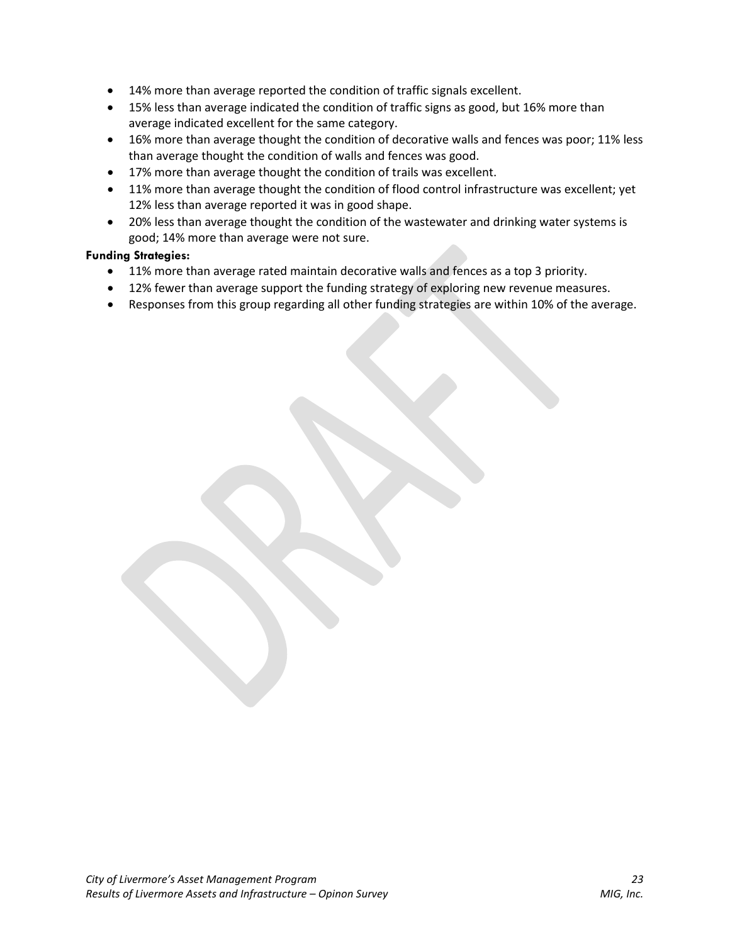- 14% more than average reported the condition of traffic signals excellent.
- 15% less than average indicated the condition of traffic signs as good, but 16% more than average indicated excellent for the same category.
- 16% more than average thought the condition of decorative walls and fences was poor; 11% less than average thought the condition of walls and fences was good.
- 17% more than average thought the condition of trails was excellent.
- 11% more than average thought the condition of flood control infrastructure was excellent; yet 12% less than average reported it was in good shape.
- 20% less than average thought the condition of the wastewater and drinking water systems is good; 14% more than average were not sure.

#### **Funding Strategies:**

- 11% more than average rated maintain decorative walls and fences as a top 3 priority.
- 12% fewer than average support the funding strategy of exploring new revenue measures.
- Responses from this group regarding all other funding strategies are within 10% of the average.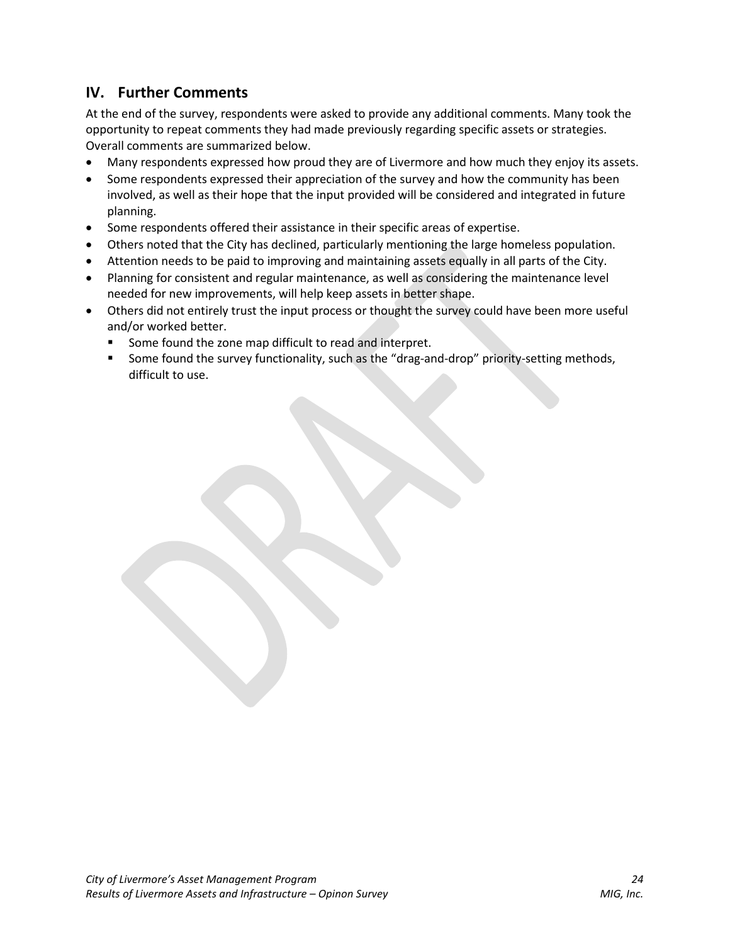# **IV. Further Comments**

At the end of the survey, respondents were asked to provide any additional comments. Many took the opportunity to repeat comments they had made previously regarding specific assets or strategies. Overall comments are summarized below.

- Many respondents expressed how proud they are of Livermore and how much they enjoy its assets.
- Some respondents expressed their appreciation of the survey and how the community has been involved, as well as their hope that the input provided will be considered and integrated in future planning.
- Some respondents offered their assistance in their specific areas of expertise.
- Others noted that the City has declined, particularly mentioning the large homeless population.
- Attention needs to be paid to improving and maintaining assets equally in all parts of the City.
- Planning for consistent and regular maintenance, as well as considering the maintenance level needed for new improvements, will help keep assets in better shape.
- Others did not entirely trust the input process or thought the survey could have been more useful and/or worked better.
	- Some found the zone map difficult to read and interpret.
	- **Some found the survey functionality, such as the "drag-and-drop" priority-setting methods,** difficult to use.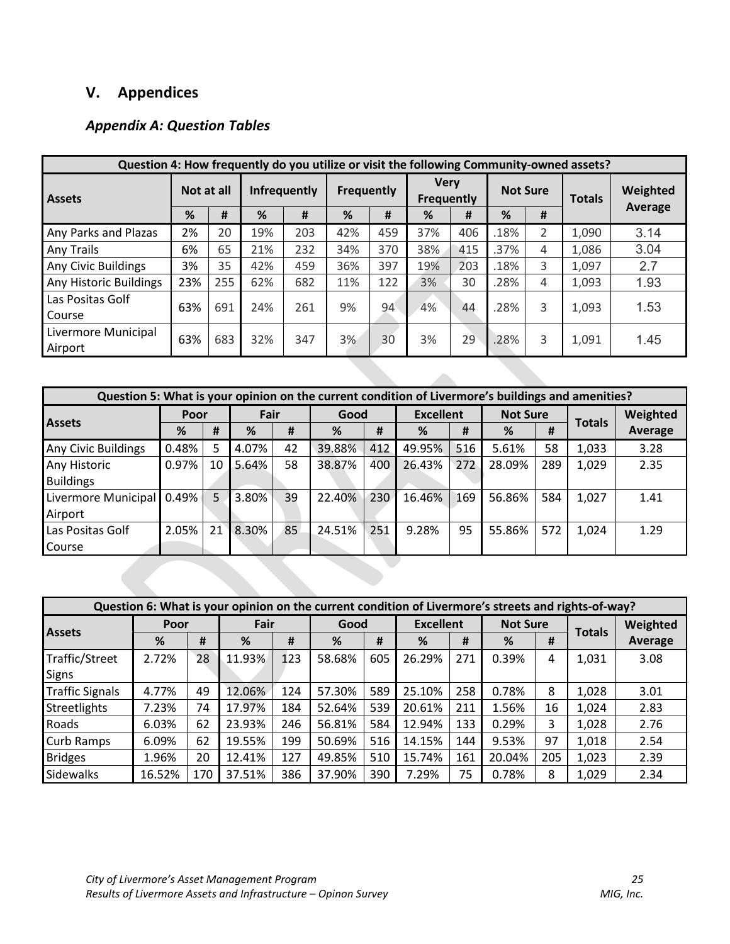# **V. Appendices**

## *Appendix A: Question Tables*

|                                | Question 4: How frequently do you utilize or visit the following Community-owned assets? |     |                   |     |                                  |     |                 |     |               |          |       |         |
|--------------------------------|------------------------------------------------------------------------------------------|-----|-------------------|-----|----------------------------------|-----|-----------------|-----|---------------|----------|-------|---------|
| <b>Assets</b>                  | <b>Infrequently</b><br>Not at all                                                        |     | <b>Frequently</b> |     | <b>Very</b><br><b>Frequently</b> |     | <b>Not Sure</b> |     | <b>Totals</b> | Weighted |       |         |
|                                | %                                                                                        | #   | %                 | #   | %                                | #   | %               | #   | %<br>#        |          |       | Average |
| Any Parks and Plazas           | 2%                                                                                       | 20  | 19%               | 203 | 42%                              | 459 | 37%             | 406 | .18%          | 2        | 1,090 | 3.14    |
| Any Trails                     | 6%                                                                                       | 65  | 21%               | 232 | 34%                              | 370 | 38%             | 415 | .37%          | 4        | 1,086 | 3.04    |
| Any Civic Buildings            | 3%                                                                                       | 35  | 42%               | 459 | 36%                              | 397 | 19%             | 203 | .18%          | 3        | 1,097 | 2.7     |
| Any Historic Buildings         | 23%                                                                                      | 255 | 62%               | 682 | 11%                              | 122 | 3%              | 30  | .28%          | 4        | 1,093 | 1.93    |
| Las Positas Golf<br>Course     | 63%                                                                                      | 691 | 24%               | 261 | 9%                               | 94  | 4%              | 44  | .28%          | 3        | 1,093 | 1.53    |
| Livermore Municipal<br>Airport | 63%                                                                                      | 683 | 32%               | 347 | 3%                               | 30  | 3%              | 29  | .28%          | 3        | 1,091 | 1.45    |

|                            | Question 5: What is your opinion on the current condition of Livermore's buildings and amenities? |    |       |    |        |     |                  |     |                 |     |               |          |
|----------------------------|---------------------------------------------------------------------------------------------------|----|-------|----|--------|-----|------------------|-----|-----------------|-----|---------------|----------|
|                            | Poor                                                                                              |    | Fair  |    | Good   |     | <b>Excellent</b> |     | <b>Not Sure</b> |     |               | Weighted |
| <b>Assets</b>              | %                                                                                                 | #  | %     | #  | %      | #   | %                | #   | %               | #   | <b>Totals</b> | Average  |
| <b>Any Civic Buildings</b> | 0.48%                                                                                             | 5  | 4.07% | 42 | 39.88% | 412 | 49.95%           | 516 | 5.61%           | 58  | 1,033         | 3.28     |
| Any Historic               | 0.97%                                                                                             | 10 | 5.64% | 58 | 38.87% | 400 | 26.43%           | 272 | 28.09%          | 289 | 1,029         | 2.35     |
| <b>Buildings</b>           |                                                                                                   |    |       |    |        |     |                  |     |                 |     |               |          |
| Livermore Municipal        | 0.49%                                                                                             | 5  | 3.80% | 39 | 22.40% | 230 | 16.46%           | 169 | 56.86%          | 584 | 1,027         | 1.41     |
| Airport                    |                                                                                                   |    |       |    |        |     |                  |     |                 |     |               |          |
| Las Positas Golf           | 2.05%                                                                                             | 21 | 8.30% | 85 | 24.51% | 251 | 9.28%            | 95  | 55.86%          | 572 | 1,024         | 1.29     |
| Course                     |                                                                                                   |    |       |    |        |     |                  |     |                 |     |               |          |

|                        |        |     | Question 6: What is your opinion on the current condition of Livermore's streets and rights-of-way? |     |        |     |                  |     |                 |     |               |          |
|------------------------|--------|-----|-----------------------------------------------------------------------------------------------------|-----|--------|-----|------------------|-----|-----------------|-----|---------------|----------|
|                        | Poor   |     | Fair                                                                                                |     | Good   |     | <b>Excellent</b> |     | <b>Not Sure</b> |     |               | Weighted |
| <b>Assets</b>          | %      | #   | %                                                                                                   | #   | %      | #   | %                | #   | %               | #   | <b>Totals</b> | Average  |
| Traffic/Street         | 2.72%  | 28  | 11.93%                                                                                              | 123 | 58.68% | 605 | 26.29%           | 271 | 0.39%           | 4   | 1,031         | 3.08     |
| Signs                  |        |     |                                                                                                     |     |        |     |                  |     |                 |     |               |          |
| <b>Traffic Signals</b> | 4.77%  | 49  | 12.06%                                                                                              | 124 | 57.30% | 589 | 25.10%           | 258 | 0.78%           | 8   | 1,028         | 3.01     |
| Streetlights           | 7.23%  | 74  | 17.97%                                                                                              | 184 | 52.64% | 539 | 20.61%           | 211 | 1.56%           | 16  | 1,024         | 2.83     |
| Roads                  | 6.03%  | 62  | 23.93%                                                                                              | 246 | 56.81% | 584 | 12.94%           | 133 | 0.29%           | 3.  | 1,028         | 2.76     |
| <b>Curb Ramps</b>      | 6.09%  | 62  | 19.55%                                                                                              | 199 | 50.69% | 516 | 14.15%           | 144 | 9.53%           | 97  | 1,018         | 2.54     |
| <b>Bridges</b>         | 1.96%  | 20  | 12.41%                                                                                              | 127 | 49.85% | 510 | 15.74%           | 161 | 20.04%          | 205 | 1,023         | 2.39     |
| Sidewalks              | 16.52% | 170 | 37.51%                                                                                              | 386 | 37.90% | 390 | 7.29%            | 75  | 0.78%           | 8   | 1,029         | 2.34     |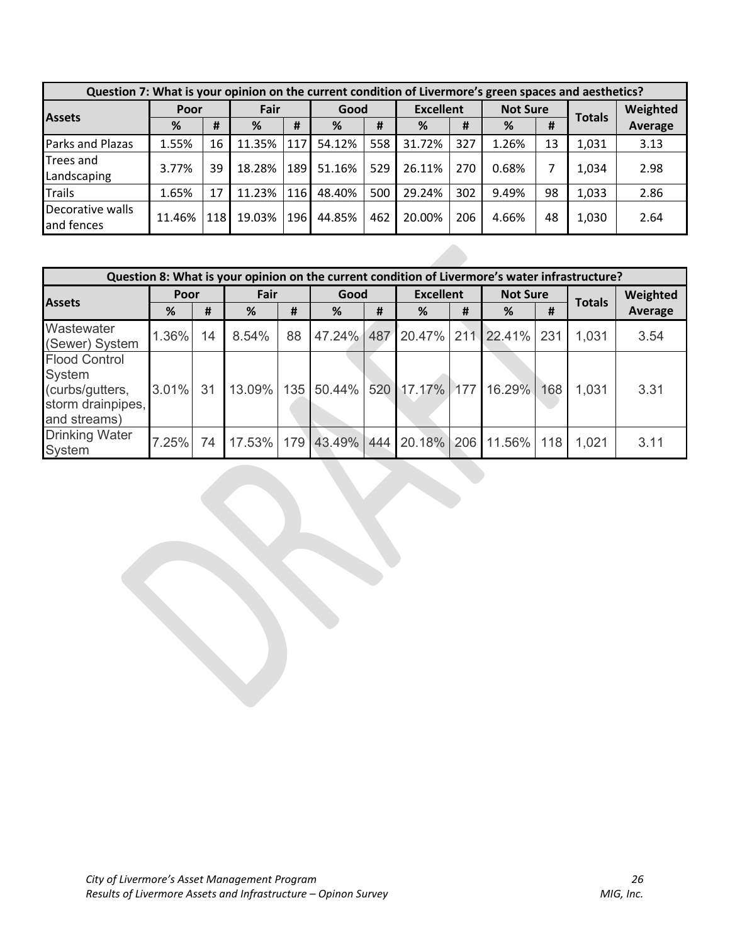|                                | Question 7: What is your opinion on the current condition of Livermore's green spaces and aesthetics? |       |        |            |        |     |                  |     |                 |    |               |          |
|--------------------------------|-------------------------------------------------------------------------------------------------------|-------|--------|------------|--------|-----|------------------|-----|-----------------|----|---------------|----------|
| Poor                           |                                                                                                       |       | Fair   |            | Good   |     | <b>Excellent</b> |     | <b>Not Sure</b> |    |               | Weighted |
| <b>Assets</b>                  | %                                                                                                     | #     | %      | #          | %      | #   | %                | #   | %               | #  | <b>Totals</b> | Average  |
| Parks and Plazas               | 1.55%                                                                                                 | 16    | 11.35% | 117        | 54.12% | 558 | 31.72%           | 327 | 1.26%           | 13 | 1,031         | 3.13     |
| Trees and<br>Landscaping       | 3.77%                                                                                                 | 39    | 18.28% | <b>189</b> | 51.16% | 529 | 26.11%           | 270 | 0.68%           |    | 1,034         | 2.98     |
| Trails                         | 1.65%                                                                                                 | 17    | 11.23% | 116        | 48.40% | 500 | 29.24%           | 302 | 9.49%           | 98 | 1,033         | 2.86     |
| Decorative walls<br>and fences | 11.46%                                                                                                | 118 l | 19.03% | 196        | 44.85% | 462 | 20.00%           | 206 | 4.66%           | 48 | 1,030         | 2.64     |

|                                                                                        | Question 8: What is your opinion on the current condition of Livermore's water infrastructure? |    |       |    |                                         |   |                  |   |                 |     |               |                |
|----------------------------------------------------------------------------------------|------------------------------------------------------------------------------------------------|----|-------|----|-----------------------------------------|---|------------------|---|-----------------|-----|---------------|----------------|
| <b>Assets</b>                                                                          | Poor                                                                                           |    | Fair  |    | Good                                    |   | <b>Excellent</b> |   | <b>Not Sure</b> |     | <b>Totals</b> | Weighted       |
|                                                                                        | %                                                                                              | #  | %     | #  | %                                       | # | %                | # | %               | #   |               | <b>Average</b> |
| Wastewater<br>(Sewer) System                                                           | 1.36%                                                                                          | 14 | 8.54% | 88 | 47.24% 487 20.47% 211 22.41%            |   |                  |   |                 | 231 | 1,031         | 3.54           |
| <b>Flood Control</b><br>System<br>(curbs/gutters,<br>storm drainpipes,<br>and streams) | 3.01% 31                                                                                       |    |       |    | 13.09% 135 50.44% 520 17.17% 177 16.29% |   |                  |   |                 | 168 | 1,031         | 3.31           |
| <b>Drinking Water</b><br>System                                                        | 7.25%                                                                                          | 74 |       |    | 17.53% 179 43.49% 444 20.18% 206 11.56% |   |                  |   |                 | 118 | 1,021         | 3.11           |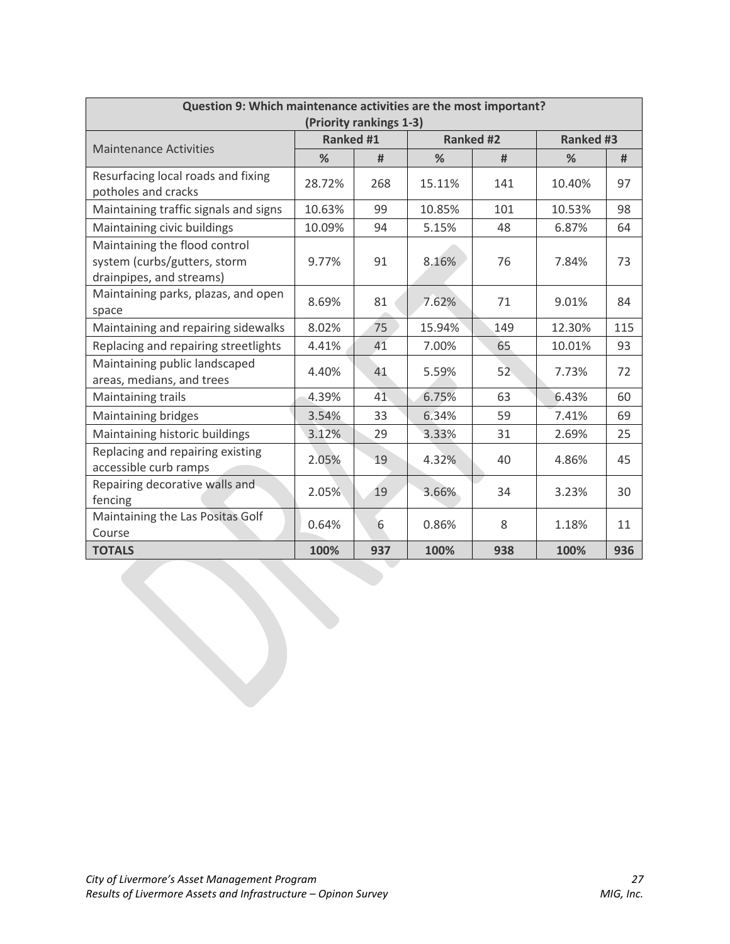| Question 9: Which maintenance activities are the most important?                          |                  | (Priority rankings 1-3) |        |                  |                  |     |
|-------------------------------------------------------------------------------------------|------------------|-------------------------|--------|------------------|------------------|-----|
|                                                                                           | <b>Ranked #1</b> |                         |        | <b>Ranked #2</b> | <b>Ranked #3</b> |     |
| <b>Maintenance Activities</b>                                                             | %                | #                       | %      | #                | %                | #   |
| Resurfacing local roads and fixing<br>potholes and cracks                                 | 28.72%           | 268                     | 15.11% | 141              | 10.40%           | 97  |
| Maintaining traffic signals and signs                                                     | 10.63%           | 99                      | 10.85% | 101              | 10.53%           | 98  |
| Maintaining civic buildings                                                               | 10.09%           | 94                      | 5.15%  | 48               | 6.87%            | 64  |
| Maintaining the flood control<br>system (curbs/gutters, storm<br>drainpipes, and streams) | 9.77%            | 91                      | 8.16%  | 76               | 7.84%            | 73  |
| Maintaining parks, plazas, and open<br>space                                              | 8.69%            | 81                      | 7.62%  | 71               | 9.01%            | 84  |
| Maintaining and repairing sidewalks                                                       | 8.02%            | 75                      | 15.94% | 149              | 12.30%           | 115 |
| Replacing and repairing streetlights                                                      | 4.41%            | 41                      | 7.00%  | 65               | 10.01%           | 93  |
| Maintaining public landscaped<br>areas, medians, and trees                                | 4.40%            | 41                      | 5.59%  | 52               | 7.73%            | 72  |
| Maintaining trails                                                                        | 4.39%            | 41                      | 6.75%  | 63               | 6.43%            | 60  |
| Maintaining bridges                                                                       | 3.54%            | 33                      | 6.34%  | 59               | 7.41%            | 69  |
| Maintaining historic buildings                                                            | 3.12%            | 29                      | 3.33%  | 31               | 2.69%            | 25  |
| Replacing and repairing existing<br>accessible curb ramps                                 | 2.05%            | 19                      | 4.32%  | 40               | 4.86%            | 45  |
| Repairing decorative walls and<br>fencing                                                 | 2.05%            | 19                      | 3.66%  | 34               | 3.23%            | 30  |
| Maintaining the Las Positas Golf<br>Course                                                | 0.64%            | 6                       | 0.86%  | 8                | 1.18%            | 11  |
| <b>TOTALS</b>                                                                             | 100%             | 937                     | 100%   | 938              | 100%             | 936 |
|                                                                                           |                  |                         |        |                  |                  |     |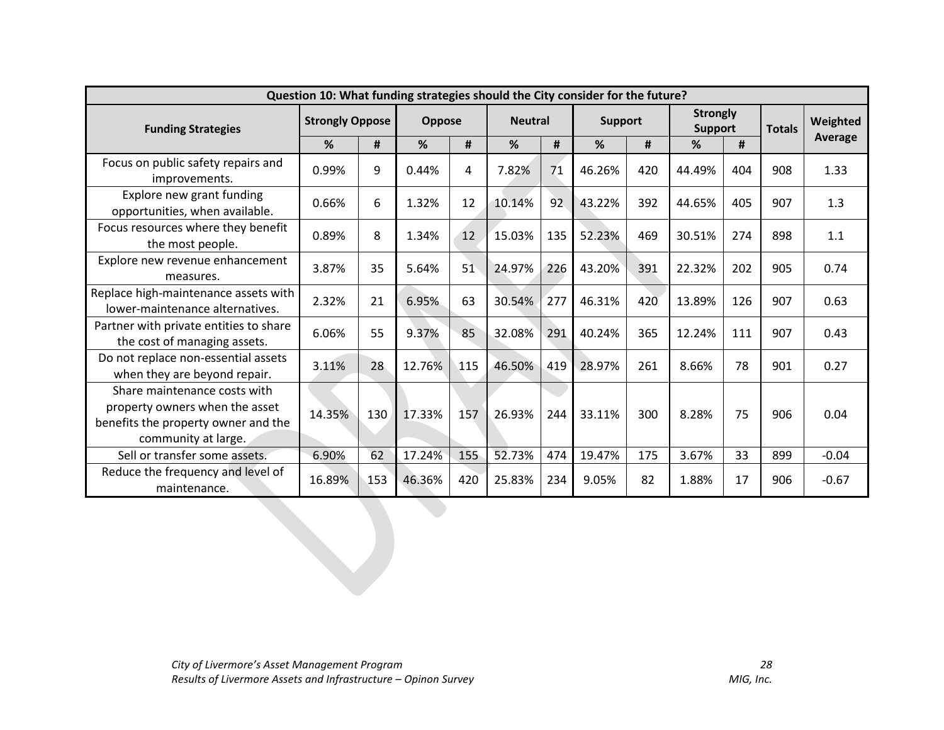|                                                                                                                              | Question 10: What funding strategies should the City consider for the future? |     |        |        |        |                |                |     |                            |     |               |          |
|------------------------------------------------------------------------------------------------------------------------------|-------------------------------------------------------------------------------|-----|--------|--------|--------|----------------|----------------|-----|----------------------------|-----|---------------|----------|
| <b>Funding Strategies</b>                                                                                                    | <b>Strongly Oppose</b>                                                        |     |        | Oppose |        | <b>Neutral</b> | <b>Support</b> |     | <b>Strongly</b><br>Support |     | <b>Totals</b> | Weighted |
|                                                                                                                              | %                                                                             | #   | %      | #      | %      | #              | %              | #   | %                          | #   |               | Average  |
| Focus on public safety repairs and<br>improvements.                                                                          | 0.99%                                                                         | 9   | 0.44%  | 4      | 7.82%  | 71             | 46.26%         | 420 | 44.49%                     | 404 | 908           | 1.33     |
| Explore new grant funding<br>opportunities, when available.                                                                  | 0.66%                                                                         | 6   | 1.32%  | 12     | 10.14% | 92             | 43.22%         | 392 | 44.65%                     | 405 | 907           | 1.3      |
| Focus resources where they benefit<br>the most people.                                                                       | 0.89%                                                                         | 8   | 1.34%  | 12     | 15.03% | 135            | 52.23%         | 469 | 30.51%                     | 274 | 898           | 1.1      |
| Explore new revenue enhancement<br>measures.                                                                                 | 3.87%                                                                         | 35  | 5.64%  | 51     | 24.97% | 226            | 43.20%         | 391 | 22.32%                     | 202 | 905           | 0.74     |
| Replace high-maintenance assets with<br>lower-maintenance alternatives.                                                      | 2.32%                                                                         | 21  | 6.95%  | 63     | 30.54% | 277            | 46.31%         | 420 | 13.89%                     | 126 | 907           | 0.63     |
| Partner with private entities to share<br>the cost of managing assets.                                                       | 6.06%                                                                         | 55  | 9.37%  | 85     | 32.08% | 291            | 40.24%         | 365 | 12.24%                     | 111 | 907           | 0.43     |
| Do not replace non-essential assets<br>when they are beyond repair.                                                          | 3.11%                                                                         | 28  | 12.76% | 115    | 46.50% | 419            | 28.97%         | 261 | 8.66%                      | 78  | 901           | 0.27     |
| Share maintenance costs with<br>property owners when the asset<br>benefits the property owner and the<br>community at large. | 14.35%                                                                        | 130 | 17.33% | 157    | 26.93% | 244            | 33.11%         | 300 | 8.28%                      | 75  | 906           | 0.04     |
| Sell or transfer some assets.                                                                                                | 6.90%                                                                         | 62  | 17.24% | 155    | 52.73% | 474            | 19.47%         | 175 | 3.67%                      | 33  | 899           | $-0.04$  |
| Reduce the frequency and level of<br>maintenance.                                                                            | 16.89%                                                                        | 153 | 46.36% | 420    | 25.83% | 234            | 9.05%          | 82  | 1.88%                      | 17  | 906           | $-0.67$  |
|                                                                                                                              |                                                                               |     |        |        |        |                |                |     |                            |     |               |          |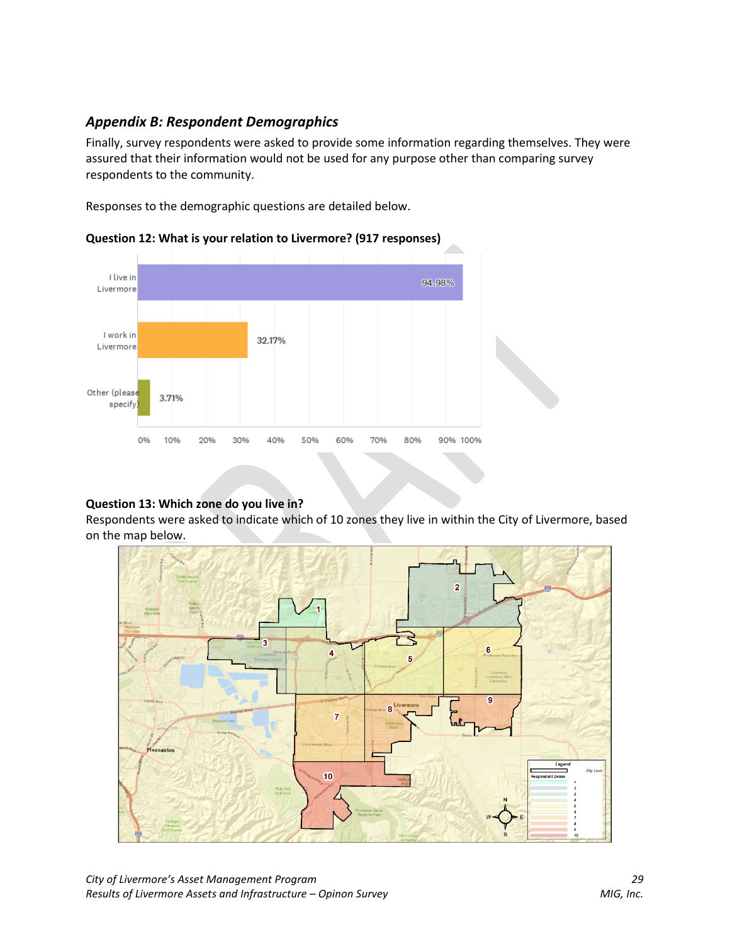## *Appendix B: Respondent Demographics*

Finally, survey respondents were asked to provide some information regarding themselves. They were assured that their information would not be used for any purpose other than comparing survey respondents to the community.

Responses to the demographic questions are detailed below.



**Question 12: What is your relation to Livermore? (917 responses)**

## **Question 13: Which zone do you live in?**

Respondents were asked to indicate which of 10 zones they live in within the City of Livermore, based on the map below.

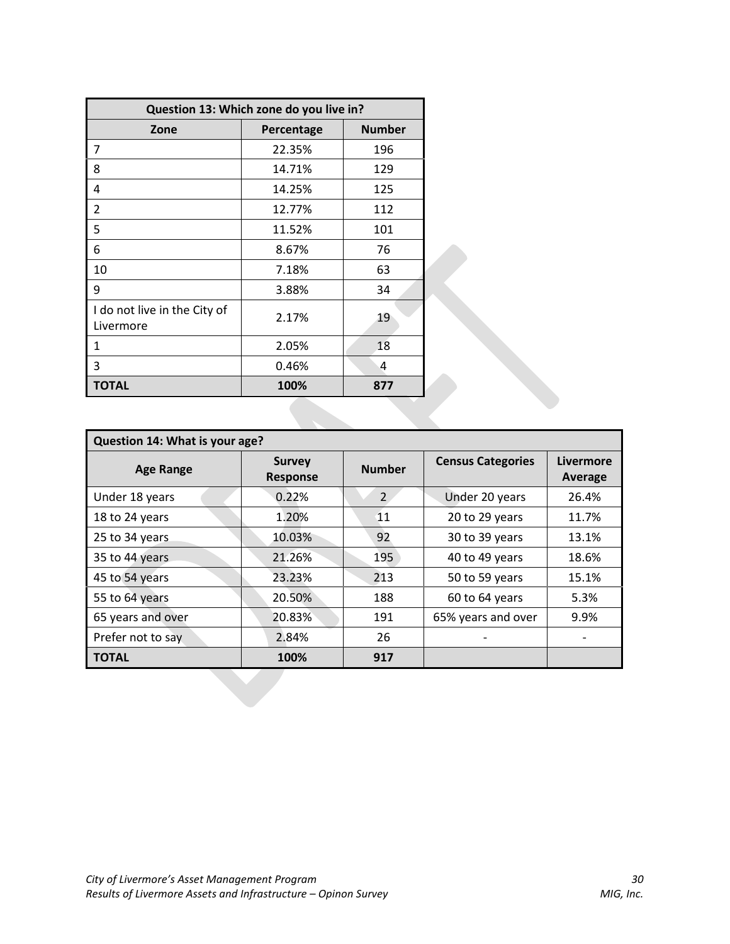|                                           | Question 13: Which zone do you live in? |               |
|-------------------------------------------|-----------------------------------------|---------------|
| Zone                                      | Percentage                              | <b>Number</b> |
| 7                                         | 22.35%                                  | 196           |
| 8                                         | 14.71%                                  | 129           |
| 4                                         | 14.25%                                  | 125           |
| 2                                         | 12.77%                                  | 112           |
| 5                                         | 11.52%                                  | 101           |
| 6                                         | 8.67%                                   | 76            |
| 10                                        | 7.18%                                   | 63            |
| 9                                         | 3.88%                                   | 34            |
| I do not live in the City of<br>Livermore | 2.17%                                   | 19            |
| 1                                         | 2.05%                                   | 18            |
| 3                                         | 0.46%                                   | 4             |
| <b>TOTAL</b>                              | 100%                                    | 877           |

| Question 14: What is your age? |                                  |                |                          |                             |
|--------------------------------|----------------------------------|----------------|--------------------------|-----------------------------|
| <b>Age Range</b>               | <b>Survey</b><br><b>Response</b> | <b>Number</b>  | <b>Census Categories</b> | Livermore<br><b>Average</b> |
| Under 18 years                 | 0.22%                            | $\overline{2}$ | Under 20 years           | 26.4%                       |
| 18 to 24 years                 | 1.20%                            | 11             | 20 to 29 years           | 11.7%                       |
| 25 to 34 years                 | 10.03%                           | 92             | 30 to 39 years           | 13.1%                       |
| 35 to 44 years                 | 21.26%                           | 195            | 40 to 49 years           | 18.6%                       |
| 45 to 54 years                 | 23.23%                           | 213            | 50 to 59 years           | 15.1%                       |
| 55 to 64 years                 | 20.50%                           | 188            | 60 to 64 years           | 5.3%                        |
| 65 years and over              | 20.83%                           | 191            | 65% years and over       | 9.9%                        |
| Prefer not to say              | 2.84%                            | 26             |                          |                             |
| <b>TOTAL</b>                   | 100%                             | 917            |                          |                             |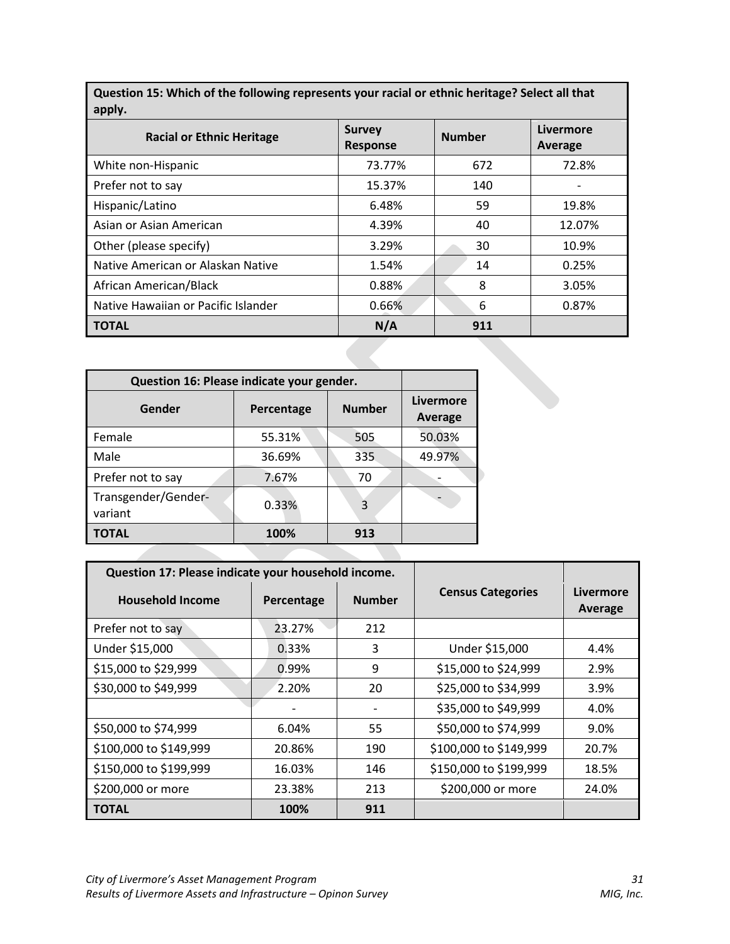**Question 15: Which of the following represents your racial or ethnic heritage? Select all that apply.**

| <b>Racial or Ethnic Heritage</b>          |                   | <b>Survey</b><br><b>Response</b> | <b>Number</b>    |     | Livermore<br>Average |
|-------------------------------------------|-------------------|----------------------------------|------------------|-----|----------------------|
| White non-Hispanic                        |                   | 73.77%                           |                  | 672 | 72.8%                |
| Prefer not to say                         |                   | 15.37%                           |                  | 140 |                      |
| Hispanic/Latino                           |                   | 6.48%                            |                  | 59  | 19.8%                |
| Asian or Asian American                   |                   | 4.39%                            |                  | 40  | 12.07%               |
| Other (please specify)                    |                   | 3.29%                            |                  | 30  | 10.9%                |
| Native American or Alaskan Native         |                   | 1.54%                            |                  | 14  | 0.25%                |
| African American/Black                    |                   | 0.88%                            |                  | 8   | 3.05%                |
| Native Hawaiian or Pacific Islander       |                   | 0.66%                            |                  | 6   | 0.87%                |
| <b>TOTAL</b>                              |                   | N/A                              |                  | 911 |                      |
|                                           |                   |                                  |                  |     |                      |
| Question 16: Please indicate your gender. |                   |                                  |                  |     |                      |
| Gender                                    | <b>Percentage</b> | Numher                           | <b>Livermore</b> |     |                      |

| Question 16: Please indicate your gender. |            |               |                             |
|-------------------------------------------|------------|---------------|-----------------------------|
| Gender                                    | Percentage | <b>Number</b> | Livermore<br><b>Average</b> |
| Female                                    | 55.31%     | 505           | 50.03%                      |
| Male                                      | 36.69%     | 335           | 49.97%                      |
| Prefer not to say                         | 7.67%      | 70            |                             |
| Transgender/Gender-<br>variant            | 0.33%      | 3             |                             |
| TOTAL                                     | 100%       | 913           |                             |

|                         | Question 17: Please indicate your household income. |               |                          |                      |
|-------------------------|-----------------------------------------------------|---------------|--------------------------|----------------------|
| <b>Household Income</b> | Percentage                                          | <b>Number</b> | <b>Census Categories</b> | Livermore<br>Average |
| Prefer not to say       | 23.27%                                              | 212           |                          |                      |
| Under \$15,000          | 0.33%                                               | 3             | Under \$15,000           | 4.4%                 |
| \$15,000 to \$29,999    | 0.99%                                               | 9             | \$15,000 to \$24,999     | 2.9%                 |
| \$30,000 to \$49,999    | 2.20%                                               | 20            | \$25,000 to \$34,999     | 3.9%                 |
|                         |                                                     |               | \$35,000 to \$49,999     | 4.0%                 |
| \$50,000 to \$74,999    | 6.04%                                               | 55            | \$50,000 to \$74,999     | 9.0%                 |
| \$100,000 to \$149,999  | 20.86%                                              | 190           | \$100,000 to \$149,999   | 20.7%                |
| \$150,000 to \$199,999  | 16.03%                                              | 146           | \$150,000 to \$199,999   | 18.5%                |
| \$200,000 or more       | 23.38%                                              | 213           | \$200,000 or more        | 24.0%                |
| <b>TOTAL</b>            | 100%                                                | 911           |                          |                      |